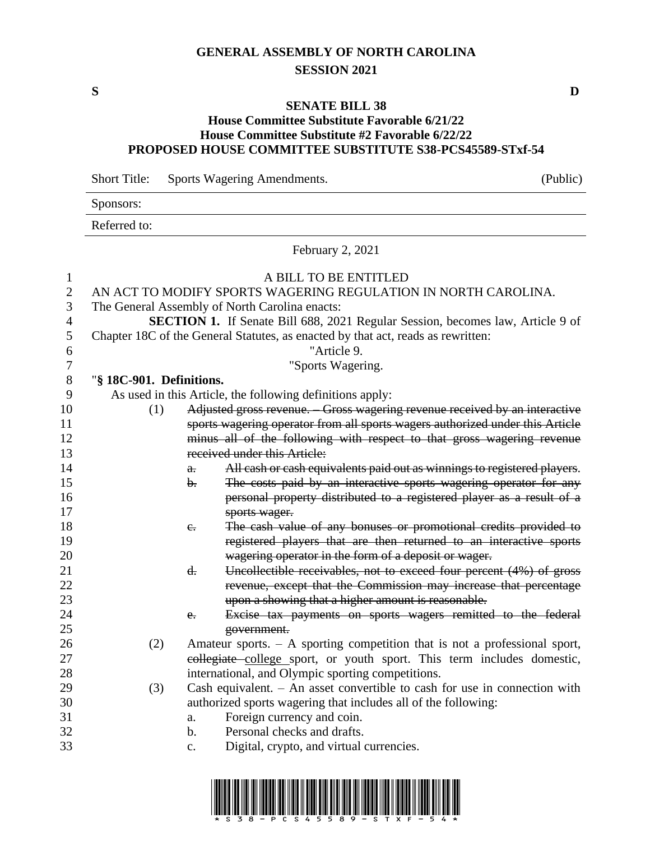# **GENERAL ASSEMBLY OF NORTH CAROLINA SESSION 2021**

## **SENATE BILL 38**

### **House Committee Substitute Favorable 6/21/22 House Committee Substitute #2 Favorable 6/22/22 PROPOSED HOUSE COMMITTEE SUBSTITUTE S38-PCS45589-STxf-54**

|                  | <b>Short Title:</b>      |                | Sports Wagering Amendments.                                                                                                                            | (Public) |
|------------------|--------------------------|----------------|--------------------------------------------------------------------------------------------------------------------------------------------------------|----------|
|                  | Sponsors:                |                |                                                                                                                                                        |          |
|                  | Referred to:             |                |                                                                                                                                                        |          |
|                  |                          |                | February 2, 2021                                                                                                                                       |          |
| 1                |                          |                | A BILL TO BE ENTITLED                                                                                                                                  |          |
| $\mathbf{2}$     |                          |                | AN ACT TO MODIFY SPORTS WAGERING REGULATION IN NORTH CAROLINA.                                                                                         |          |
| 3                |                          |                | The General Assembly of North Carolina enacts:                                                                                                         |          |
| 4                |                          |                | <b>SECTION 1.</b> If Senate Bill 688, 2021 Regular Session, becomes law, Article 9 of                                                                  |          |
| 5                |                          |                | Chapter 18C of the General Statutes, as enacted by that act, reads as rewritten:                                                                       |          |
| 6                |                          |                | "Article 9.                                                                                                                                            |          |
| $\boldsymbol{7}$ |                          |                | "Sports Wagering.                                                                                                                                      |          |
| $8\,$            | "§ 18C-901. Definitions. |                |                                                                                                                                                        |          |
| 9                |                          |                | As used in this Article, the following definitions apply:                                                                                              |          |
| 10               | (1)                      |                | Adjusted gross revenue. Gross wagering revenue received by an interactive                                                                              |          |
| 11               |                          |                | sports wagering operator from all sports wagers authorized under this Article                                                                          |          |
| 12               |                          |                | minus all of the following with respect to that gross wagering revenue                                                                                 |          |
| 13               |                          |                | received under this Article:                                                                                                                           |          |
| 14               |                          | $\theta$ .     | All cash or cash equivalents paid out as winnings to registered players.                                                                               |          |
| 15               |                          | $\mathbf{b}$ . | The costs paid by an interactive sports wagering operator for any                                                                                      |          |
| 16               |                          |                | personal property distributed to a registered player as a result of a                                                                                  |          |
| 17               |                          |                | sports wager.                                                                                                                                          |          |
| 18               |                          | $e_{i}$        | The cash value of any bonuses or promotional credits provided to                                                                                       |          |
| 19               |                          |                | registered players that are then returned to an interactive sports                                                                                     |          |
| 20               |                          |                | wagering operator in the form of a deposit or wager.                                                                                                   |          |
| 21               |                          | d.             | Uncollectible receivables, not to exceed four percent (4%) of gross                                                                                    |          |
| 22               |                          |                | revenue, except that the Commission may increase that percentage                                                                                       |          |
| 23               |                          |                | upon a showing that a higher amount is reasonable.                                                                                                     |          |
| 24               |                          | $e_{\cdot}$    | Excise tax payments on sports wagers remitted to the federal                                                                                           |          |
| 25<br>26         |                          |                | government.                                                                                                                                            |          |
| 27               | (2)                      |                | Amateur sports. $-$ A sporting competition that is not a professional sport,<br>collegiate college sport, or youth sport. This term includes domestic, |          |
| 28               |                          |                | international, and Olympic sporting competitions.                                                                                                      |          |
| 29               | (3)                      |                | Cash equivalent. $-$ An asset convertible to cash for use in connection with                                                                           |          |
| 30               |                          |                | authorized sports wagering that includes all of the following:                                                                                         |          |
| 31               |                          | a.             | Foreign currency and coin.                                                                                                                             |          |
| 32               |                          | b.             | Personal checks and drafts.                                                                                                                            |          |
| 33               |                          | $\mathbf{c}$ . | Digital, crypto, and virtual currencies.                                                                                                               |          |
|                  |                          |                |                                                                                                                                                        |          |



**S D**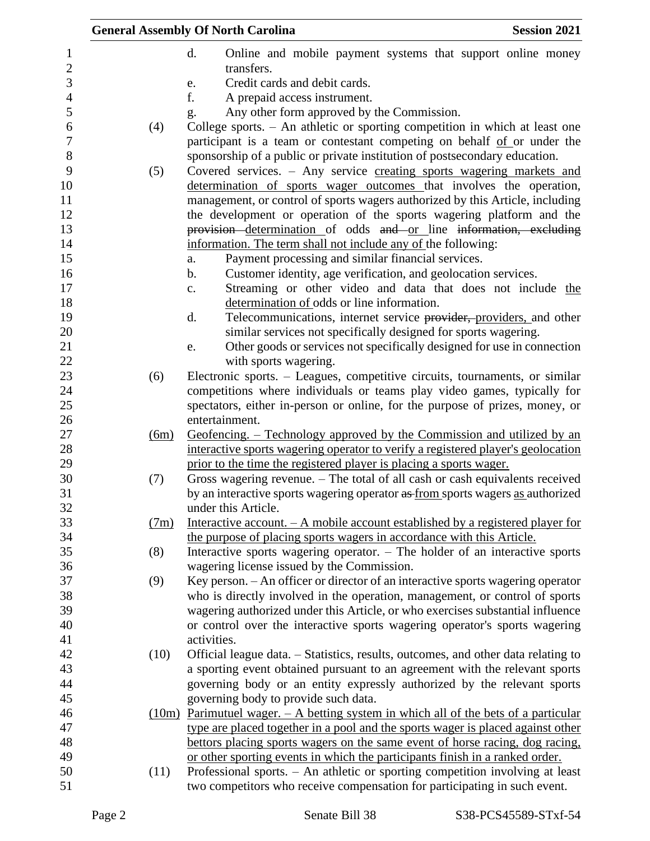|                   |      |      | <b>General Assembly Of North Carolina</b>                                                                                                                    | <b>Session 2021</b> |
|-------------------|------|------|--------------------------------------------------------------------------------------------------------------------------------------------------------------|---------------------|
| 1                 |      |      | d.<br>Online and mobile payment systems that support online money<br>transfers.                                                                              |                     |
| $\mathbf{2}$<br>3 |      |      | Credit cards and debit cards.                                                                                                                                |                     |
| $\overline{4}$    |      |      | e.<br>f.                                                                                                                                                     |                     |
| 5                 |      |      | A prepaid access instrument.                                                                                                                                 |                     |
| 6                 |      |      | Any other form approved by the Commission.<br>g.<br>College sports. - An athletic or sporting competition in which at least one                              |                     |
| $\boldsymbol{7}$  | (4)  |      | participant is a team or contestant competing on behalf of or under the                                                                                      |                     |
| $8\,$             |      |      | sponsorship of a public or private institution of postsecondary education.                                                                                   |                     |
| 9<br>10           | (5)  |      | Covered services. - Any service creating sports wagering markets and<br>determination of sports wager outcomes that involves the operation,                  |                     |
| 11                |      |      | management, or control of sports wagers authorized by this Article, including                                                                                |                     |
| 12                |      |      | the development or operation of the sports wagering platform and the                                                                                         |                     |
| 13                |      |      | provision determination of odds and or line information, excluding                                                                                           |                     |
| 14                |      |      | information. The term shall not include any of the following:                                                                                                |                     |
| 15                |      |      | Payment processing and similar financial services.<br>a.                                                                                                     |                     |
| 16                |      |      | Customer identity, age verification, and geolocation services.<br>$\mathbf b$ .                                                                              |                     |
| 17                |      |      | Streaming or other video and data that does not include the<br>c.                                                                                            |                     |
| 18                |      |      | determination of odds or line information.                                                                                                                   |                     |
| 19                |      |      | Telecommunications, internet service provider, providers, and other<br>d.                                                                                    |                     |
| 20                |      |      | similar services not specifically designed for sports wagering.                                                                                              |                     |
| 21                |      |      | Other goods or services not specifically designed for use in connection<br>e.                                                                                |                     |
| 22                |      |      | with sports wagering.                                                                                                                                        |                     |
| 23                | (6)  |      | Electronic sports. – Leagues, competitive circuits, tournaments, or similar                                                                                  |                     |
| 24                |      |      | competitions where individuals or teams play video games, typically for                                                                                      |                     |
| 25                |      |      | spectators, either in-person or online, for the purpose of prizes, money, or                                                                                 |                     |
| 26                |      |      | entertainment.                                                                                                                                               |                     |
| 27                |      | (6m) | Geofencing. – Technology approved by the Commission and utilized by an                                                                                       |                     |
| 28                |      |      | interactive sports wagering operator to verify a registered player's geolocation                                                                             |                     |
| 29                |      |      | prior to the time the registered player is placing a sports wager.                                                                                           |                     |
| 30                | (7)  |      | Gross wagering revenue. - The total of all cash or cash equivalents received                                                                                 |                     |
| 31                |      |      | by an interactive sports wagering operator as from sports wagers as authorized                                                                               |                     |
| 32                |      |      | under this Article.                                                                                                                                          |                     |
| 33                |      | (7m) | Interactive account. $-A$ mobile account established by a registered player for                                                                              |                     |
| 34                |      |      | the purpose of placing sports wagers in accordance with this Article.                                                                                        |                     |
| 35                | (8)  |      | Interactive sports wagering operator. - The holder of an interactive sports                                                                                  |                     |
| 36                |      |      | wagering license issued by the Commission.                                                                                                                   |                     |
| 37                | (9)  |      | Key person. - An officer or director of an interactive sports wagering operator                                                                              |                     |
| 38                |      |      | who is directly involved in the operation, management, or control of sports                                                                                  |                     |
| 39<br>40          |      |      | wagering authorized under this Article, or who exercises substantial influence<br>or control over the interactive sports wagering operator's sports wagering |                     |
| 41                |      |      | activities.                                                                                                                                                  |                     |
| 42                | (10) |      | Official league data. - Statistics, results, outcomes, and other data relating to                                                                            |                     |
| 43                |      |      | a sporting event obtained pursuant to an agreement with the relevant sports                                                                                  |                     |
| 44                |      |      | governing body or an entity expressly authorized by the relevant sports                                                                                      |                     |
| 45                |      |      | governing body to provide such data.                                                                                                                         |                     |
| 46                |      |      | $(10m)$ Parimutuel wager. $-$ A betting system in which all of the bets of a particular                                                                      |                     |
| 47                |      |      | type are placed together in a pool and the sports wager is placed against other                                                                              |                     |
| 48                |      |      | bettors placing sports wagers on the same event of horse racing, dog racing,                                                                                 |                     |
| 49                |      |      | or other sporting events in which the participants finish in a ranked order.                                                                                 |                     |
| 50                | (11) |      | Professional sports. - An athletic or sporting competition involving at least                                                                                |                     |
| 51                |      |      | two competitors who receive compensation for participating in such event.                                                                                    |                     |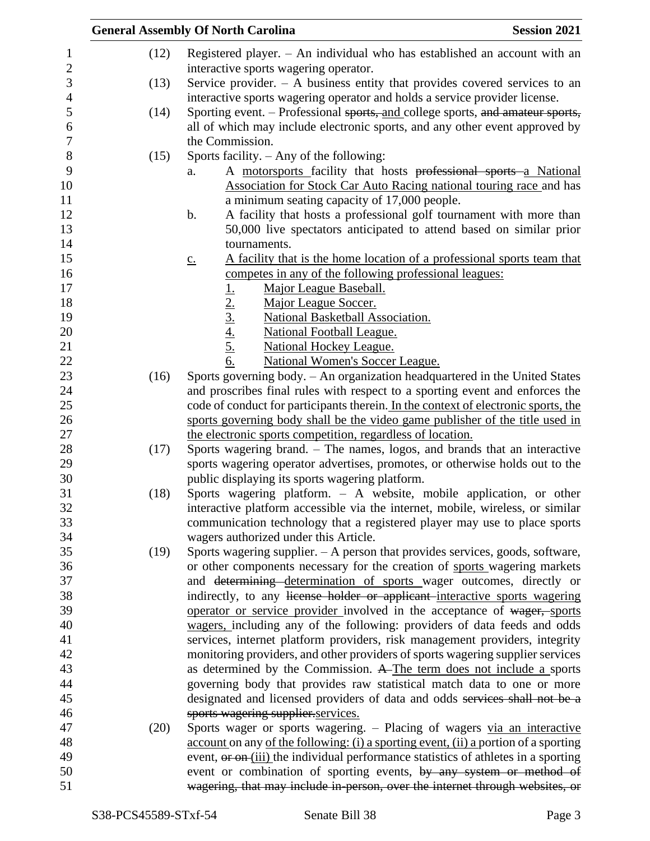|                  |      | <b>General Assembly Of North Carolina</b><br><b>Session 2021</b>                                           |
|------------------|------|------------------------------------------------------------------------------------------------------------|
| 1                | (12) | Registered player. $-$ An individual who has established an account with an                                |
| $\mathbf{2}$     |      | interactive sports wagering operator.                                                                      |
| 3                | (13) | Service provider. $-$ A business entity that provides covered services to an                               |
| $\overline{4}$   |      | interactive sports wagering operator and holds a service provider license.                                 |
| 5                | (14) | Sporting event. – Professional sports, and college sports, and amateur sports,                             |
| 6                |      | all of which may include electronic sports, and any other event approved by                                |
| $\boldsymbol{7}$ |      | the Commission.                                                                                            |
| $8\,$            | (15) | Sports facility. $-$ Any of the following:                                                                 |
| 9                |      | A motorsports facility that hosts professional sports a National<br>a.                                     |
| 10               |      | Association for Stock Car Auto Racing national touring race and has                                        |
| 11               |      | a minimum seating capacity of 17,000 people.                                                               |
| 12               |      | A facility that hosts a professional golf tournament with more than<br>b.                                  |
| 13               |      | 50,000 live spectators anticipated to attend based on similar prior                                        |
| 14               |      | tournaments.                                                                                               |
| 15               |      | A facility that is the home location of a professional sports team that<br>$\underline{c}$ .               |
| 16               |      | competes in any of the following professional leagues:                                                     |
| 17               |      | Major League Baseball.                                                                                     |
| 18               |      | Major League Soccer.                                                                                       |
| 19               |      | National Basketball Association.                                                                           |
| 20               |      | <b>National Football League.</b>                                                                           |
| 21               |      | $\frac{1}{2}$ .<br>$\frac{2}{3}$ .<br>$\frac{4}{4}$ .<br>$\frac{5}{6}$ .<br><b>National Hockey League.</b> |
| 22               |      | <b>National Women's Soccer League.</b>                                                                     |
| 23               | (16) | Sports governing body. - An organization headquartered in the United States                                |
| 24               |      | and proscribes final rules with respect to a sporting event and enforces the                               |
| 25               |      | code of conduct for participants therein. In the context of electronic sports, the                         |
| 26               |      | sports governing body shall be the video game publisher of the title used in                               |
| 27               |      | the electronic sports competition, regardless of location.                                                 |
| 28               | (17) | Sports wagering brand. – The names, logos, and brands that an interactive                                  |
| 29               |      | sports wagering operator advertises, promotes, or otherwise holds out to the                               |
| 30               |      | public displaying its sports wagering platform.                                                            |
| 31               | (18) | Sports wagering platform. - A website, mobile application, or other                                        |
| 32               |      | interactive platform accessible via the internet, mobile, wireless, or similar                             |
| 33               |      | communication technology that a registered player may use to place sports                                  |
| 34               |      | wagers authorized under this Article.                                                                      |
| 35               | (19) | Sports wagering supplier. $- A$ person that provides services, goods, software,                            |
| 36               |      | or other components necessary for the creation of sports wagering markets                                  |
| 37               |      | and <del>determining determination of sports</del> wager outcomes, directly or                             |
| 38               |      | indirectly, to any license holder or applicant interactive sports wagering                                 |
| 39               |      | operator or service provider involved in the acceptance of wager, sports                                   |
| 40               |      | wagers, including any of the following: providers of data feeds and odds                                   |
| 41               |      | services, internet platform providers, risk management providers, integrity                                |
| 42               |      | monitoring providers, and other providers of sports wagering supplier services                             |
| 43               |      | as determined by the Commission. A The term does not include a sports                                      |
| 44               |      | governing body that provides raw statistical match data to one or more                                     |
| 45               |      | designated and licensed providers of data and odds services shall not be a                                 |
| 46               |      | sports wagering supplier services.                                                                         |
| 47               | (20) | Sports wager or sports wagering. - Placing of wagers via an interactive                                    |
| 48               |      | account on any of the following: (i) a sporting event, (ii) a portion of a sporting                        |
| 49               |      | event, or on-(iii) the individual performance statistics of athletes in a sporting                         |
| 50               |      | event or combination of sporting events, by any system or method of                                        |
| 51               |      | wagering, that may include in person, over the internet through websites, or                               |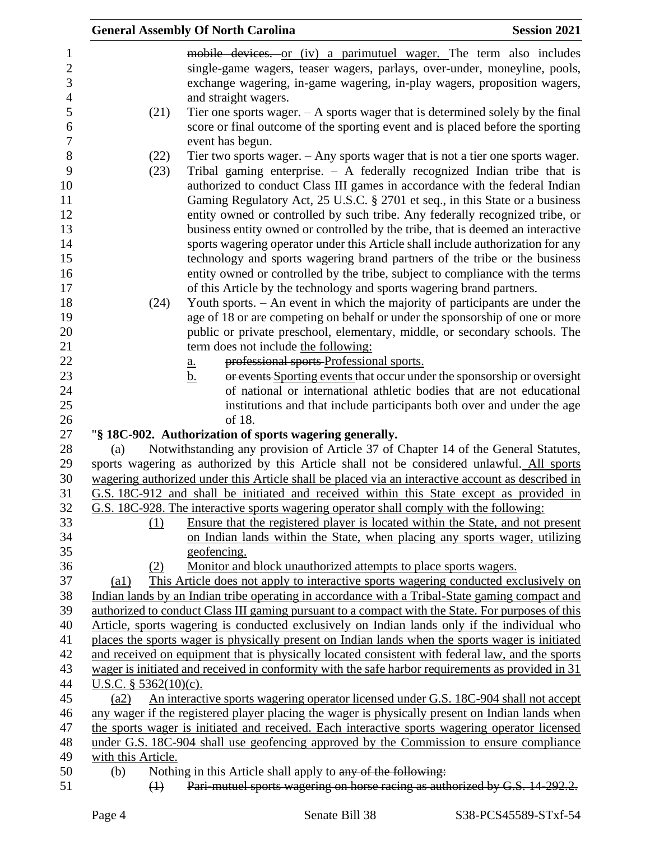|                         | <b>General Assembly Of North Carolina</b>                                                                                                                                                            | <b>Session 2021</b> |
|-------------------------|------------------------------------------------------------------------------------------------------------------------------------------------------------------------------------------------------|---------------------|
|                         | mobile devices. or (iv) a parimutuel wager. The term also includes                                                                                                                                   |                     |
|                         | single-game wagers, teaser wagers, parlays, over-under, moneyline, pools,                                                                                                                            |                     |
|                         | exchange wagering, in-game wagering, in-play wagers, proposition wagers,                                                                                                                             |                     |
|                         | and straight wagers.                                                                                                                                                                                 |                     |
| (21)                    | Tier one sports wager. $- A$ sports wager that is determined solely by the final                                                                                                                     |                     |
|                         | score or final outcome of the sporting event and is placed before the sporting                                                                                                                       |                     |
|                         | event has begun.                                                                                                                                                                                     |                     |
| (22)                    | Tier two sports wager. $-$ Any sports wager that is not a tier one sports wager.                                                                                                                     |                     |
| (23)                    | Tribal gaming enterprise. $-$ A federally recognized Indian tribe that is                                                                                                                            |                     |
|                         | authorized to conduct Class III games in accordance with the federal Indian                                                                                                                          |                     |
|                         | Gaming Regulatory Act, 25 U.S.C. § 2701 et seq., in this State or a business                                                                                                                         |                     |
|                         | entity owned or controlled by such tribe. Any federally recognized tribe, or                                                                                                                         |                     |
|                         | business entity owned or controlled by the tribe, that is deemed an interactive                                                                                                                      |                     |
|                         | sports wagering operator under this Article shall include authorization for any                                                                                                                      |                     |
|                         | technology and sports wagering brand partners of the tribe or the business                                                                                                                           |                     |
|                         | entity owned or controlled by the tribe, subject to compliance with the terms                                                                                                                        |                     |
|                         | of this Article by the technology and sports wagering brand partners.                                                                                                                                |                     |
| (24)                    | Youth sports. - An event in which the majority of participants are under the                                                                                                                         |                     |
|                         | age of 18 or are competing on behalf or under the sponsorship of one or more                                                                                                                         |                     |
|                         | public or private preschool, elementary, middle, or secondary schools. The                                                                                                                           |                     |
|                         | term does not include the following:                                                                                                                                                                 |                     |
|                         | professional sports-Professional sports.<br><u>a.</u>                                                                                                                                                |                     |
|                         | or events Sporting events that occur under the sponsorship or oversight<br><u>b.</u>                                                                                                                 |                     |
|                         | of national or international athletic bodies that are not educational                                                                                                                                |                     |
|                         | institutions and that include participants both over and under the age                                                                                                                               |                     |
|                         | of 18.                                                                                                                                                                                               |                     |
|                         | "§ 18C-902. Authorization of sports wagering generally.                                                                                                                                              |                     |
| (a)                     | Notwithstanding any provision of Article 37 of Chapter 14 of the General Statutes,                                                                                                                   |                     |
|                         | sports wagering as authorized by this Article shall not be considered unlawful. All sports                                                                                                           |                     |
|                         | wagering authorized under this Article shall be placed via an interactive account as described in                                                                                                    |                     |
|                         | G.S. 18C-912 and shall be initiated and received within this State except as provided in                                                                                                             |                     |
|                         | G.S. 18C-928. The interactive sports wagering operator shall comply with the following:                                                                                                              |                     |
| (1)                     | Ensure that the registered player is located within the State, and not present                                                                                                                       |                     |
|                         | on Indian lands within the State, when placing any sports wager, utilizing                                                                                                                           |                     |
|                         | geofencing.                                                                                                                                                                                          |                     |
| (2)                     | <u>Monitor and block unauthorized attempts to place sports wagers.</u>                                                                                                                               |                     |
| (a1)                    | This Article does not apply to interactive sports wagering conducted exclusively on                                                                                                                  |                     |
|                         | Indian lands by an Indian tribe operating in accordance with a Tribal-State gaming compact and                                                                                                       |                     |
|                         | authorized to conduct Class III gaming pursuant to a compact with the State. For purposes of this                                                                                                    |                     |
|                         | Article, sports wagering is conducted exclusively on Indian lands only if the individual who                                                                                                         |                     |
|                         | places the sports wager is physically present on Indian lands when the sports wager is initiated<br>and received on equipment that is physically located consistent with federal law, and the sports |                     |
|                         | wager is initiated and received in conformity with the safe harbor requirements as provided in 31                                                                                                    |                     |
| U.S.C. $§$ 5362(10)(c). |                                                                                                                                                                                                      |                     |
| (a2)                    | An interactive sports wagering operator licensed under G.S. 18C-904 shall not accept                                                                                                                 |                     |
|                         | any wager if the registered player placing the wager is physically present on Indian lands when                                                                                                      |                     |
|                         | the sports wager is initiated and received. Each interactive sports wagering operator licensed                                                                                                       |                     |
|                         | under G.S. 18C-904 shall use geofencing approved by the Commission to ensure compliance                                                                                                              |                     |
| with this Article.      |                                                                                                                                                                                                      |                     |
| (b)                     | Nothing in this Article shall apply to any of the following.                                                                                                                                         |                     |
| $\bigoplus$             | Pari-mutuel sports wagering on horse racing as authorized by G.S. 14-292.2.                                                                                                                          |                     |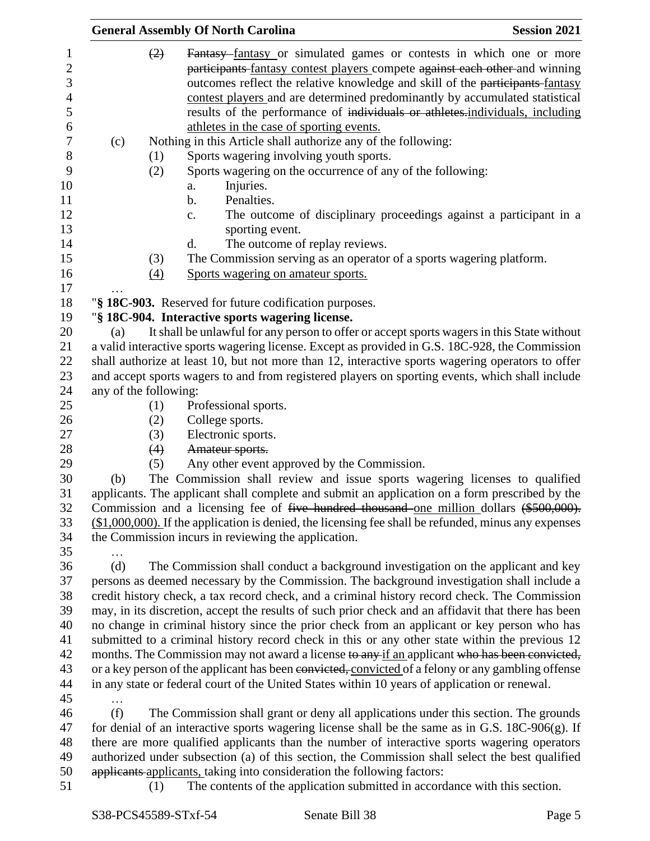|     | <b>General Assembly Of North Carolina</b>                                                                                                                                                                                                                                                                                                                                                                                                             | <b>Session 2021</b> |
|-----|-------------------------------------------------------------------------------------------------------------------------------------------------------------------------------------------------------------------------------------------------------------------------------------------------------------------------------------------------------------------------------------------------------------------------------------------------------|---------------------|
|     | Fantasy fantasy or simulated games or contests in which one or more<br>(2)<br>participants fantasy contest players compete against each other and winning<br>outcomes reflect the relative knowledge and skill of the participants-fantasy<br>contest players and are determined predominantly by accumulated statistical<br>results of the performance of individuals or athletes.individuals, including<br>athletes in the case of sporting events. |                     |
| (c) | Nothing in this Article shall authorize any of the following:                                                                                                                                                                                                                                                                                                                                                                                         |                     |
|     | Sports wagering involving youth sports.<br>(1)                                                                                                                                                                                                                                                                                                                                                                                                        |                     |
|     | Sports wagering on the occurrence of any of the following:<br>(2)                                                                                                                                                                                                                                                                                                                                                                                     |                     |
|     | Injuries.<br>a.                                                                                                                                                                                                                                                                                                                                                                                                                                       |                     |
|     | Penalties.<br>b.                                                                                                                                                                                                                                                                                                                                                                                                                                      |                     |
|     | The outcome of disciplinary proceedings against a participant in a<br>c.                                                                                                                                                                                                                                                                                                                                                                              |                     |
|     | sporting event.                                                                                                                                                                                                                                                                                                                                                                                                                                       |                     |
|     | The outcome of replay reviews.<br>d.                                                                                                                                                                                                                                                                                                                                                                                                                  |                     |
|     | The Commission serving as an operator of a sports wagering platform.<br>(3)                                                                                                                                                                                                                                                                                                                                                                           |                     |
|     | Sports wagering on amateur sports.<br>$\left(4\right)$                                                                                                                                                                                                                                                                                                                                                                                                |                     |
|     |                                                                                                                                                                                                                                                                                                                                                                                                                                                       |                     |
|     | "§ 18C-903. Reserved for future codification purposes.                                                                                                                                                                                                                                                                                                                                                                                                |                     |
|     | "§ 18C-904. Interactive sports wagering license.                                                                                                                                                                                                                                                                                                                                                                                                      |                     |
| (a) | It shall be unlawful for any person to offer or accept sports wagers in this State without                                                                                                                                                                                                                                                                                                                                                            |                     |
|     | a valid interactive sports wagering license. Except as provided in G.S. 18C-928, the Commission<br>shall authorize at least 10, but not more than 12, interactive sports wagering operators to offer                                                                                                                                                                                                                                                  |                     |
|     | and accept sports wagers to and from registered players on sporting events, which shall include                                                                                                                                                                                                                                                                                                                                                       |                     |
|     | any of the following:                                                                                                                                                                                                                                                                                                                                                                                                                                 |                     |
|     | (1)<br>Professional sports.                                                                                                                                                                                                                                                                                                                                                                                                                           |                     |
|     | (2)<br>College sports.                                                                                                                                                                                                                                                                                                                                                                                                                                |                     |
|     | Electronic sports.<br>(3)                                                                                                                                                                                                                                                                                                                                                                                                                             |                     |
|     | Amateur sports.<br>(4)                                                                                                                                                                                                                                                                                                                                                                                                                                |                     |
|     | (5)<br>Any other event approved by the Commission.                                                                                                                                                                                                                                                                                                                                                                                                    |                     |
| (b) | The Commission shall review and issue sports wagering licenses to qualified                                                                                                                                                                                                                                                                                                                                                                           |                     |
|     | applicants. The applicant shall complete and submit an application on a form prescribed by the                                                                                                                                                                                                                                                                                                                                                        |                     |
|     | Commission and a licensing fee of <del>five hundred thousand</del> one million dollars (\$500,000).                                                                                                                                                                                                                                                                                                                                                   |                     |
|     | $($1,000,000)$ . If the application is denied, the licensing fee shall be refunded, minus any expenses                                                                                                                                                                                                                                                                                                                                                |                     |
|     | the Commission incurs in reviewing the application.                                                                                                                                                                                                                                                                                                                                                                                                   |                     |
|     |                                                                                                                                                                                                                                                                                                                                                                                                                                                       |                     |
| (d) | The Commission shall conduct a background investigation on the applicant and key                                                                                                                                                                                                                                                                                                                                                                      |                     |
|     | persons as deemed necessary by the Commission. The background investigation shall include a                                                                                                                                                                                                                                                                                                                                                           |                     |
|     | credit history check, a tax record check, and a criminal history record check. The Commission                                                                                                                                                                                                                                                                                                                                                         |                     |
|     | may, in its discretion, accept the results of such prior check and an affidavit that there has been                                                                                                                                                                                                                                                                                                                                                   |                     |
|     | no change in criminal history since the prior check from an applicant or key person who has                                                                                                                                                                                                                                                                                                                                                           |                     |
|     | submitted to a criminal history record check in this or any other state within the previous 12                                                                                                                                                                                                                                                                                                                                                        |                     |
|     | months. The Commission may not award a license to any if an applicant who has been convicted,                                                                                                                                                                                                                                                                                                                                                         |                     |
|     | or a key person of the applicant has been convicted, convicted of a felony or any gambling offense                                                                                                                                                                                                                                                                                                                                                    |                     |
|     | in any state or federal court of the United States within 10 years of application or renewal.                                                                                                                                                                                                                                                                                                                                                         |                     |
|     |                                                                                                                                                                                                                                                                                                                                                                                                                                                       |                     |
| (f) | The Commission shall grant or deny all applications under this section. The grounds                                                                                                                                                                                                                                                                                                                                                                   |                     |
|     | for denial of an interactive sports wagering license shall be the same as in G.S. $18C-906(g)$ . If                                                                                                                                                                                                                                                                                                                                                   |                     |
|     | there are more qualified applicants than the number of interactive sports wagering operators                                                                                                                                                                                                                                                                                                                                                          |                     |
|     | authorized under subsection (a) of this section, the Commission shall select the best qualified                                                                                                                                                                                                                                                                                                                                                       |                     |
|     | applicants applicants, taking into consideration the following factors:                                                                                                                                                                                                                                                                                                                                                                               |                     |
|     | The contents of the application submitted in accordance with this section.<br>(1)                                                                                                                                                                                                                                                                                                                                                                     |                     |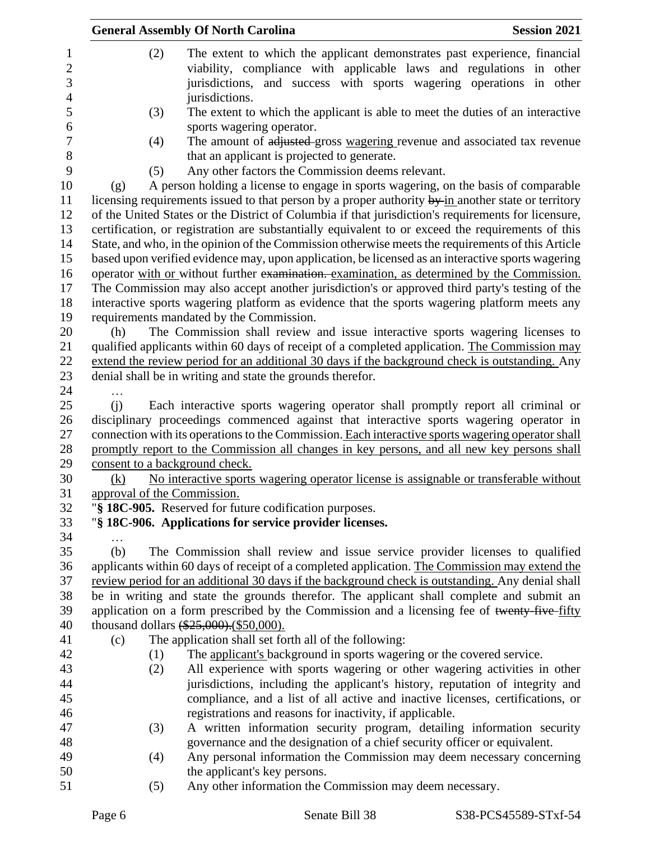|                                | <b>General Assembly Of North Carolina</b>                                                           | <b>Session 2021</b> |
|--------------------------------|-----------------------------------------------------------------------------------------------------|---------------------|
| (2)                            | The extent to which the applicant demonstrates past experience, financial                           |                     |
|                                | viability, compliance with applicable laws and regulations in other                                 |                     |
|                                | jurisdictions, and success with sports wagering operations in other                                 |                     |
|                                | jurisdictions.                                                                                      |                     |
| (3)                            | The extent to which the applicant is able to meet the duties of an interactive                      |                     |
|                                | sports wagering operator.                                                                           |                     |
| (4)                            | The amount of adjusted gross wagering revenue and associated tax revenue                            |                     |
|                                | that an applicant is projected to generate.                                                         |                     |
| (5)                            | Any other factors the Commission deems relevant.                                                    |                     |
| (g)                            | A person holding a license to engage in sports wagering, on the basis of comparable                 |                     |
|                                | licensing requirements issued to that person by a proper authority by-in another state or territory |                     |
|                                | of the United States or the District of Columbia if that jurisdiction's requirements for licensure, |                     |
|                                | certification, or registration are substantially equivalent to or exceed the requirements of this   |                     |
|                                | State, and who, in the opinion of the Commission otherwise meets the requirements of this Article   |                     |
|                                | based upon verified evidence may, upon application, be licensed as an interactive sports wagering   |                     |
|                                | operator with or without further examination. examination, as determined by the Commission.         |                     |
|                                | The Commission may also accept another jurisdiction's or approved third party's testing of the      |                     |
|                                | interactive sports wagering platform as evidence that the sports wagering platform meets any        |                     |
|                                | requirements mandated by the Commission.                                                            |                     |
| (h)                            | The Commission shall review and issue interactive sports wagering licenses to                       |                     |
|                                | qualified applicants within 60 days of receipt of a completed application. The Commission may       |                     |
|                                | extend the review period for an additional 30 days if the background check is outstanding. Any      |                     |
|                                | denial shall be in writing and state the grounds therefor.                                          |                     |
| .                              |                                                                                                     |                     |
| (i)                            | Each interactive sports wagering operator shall promptly report all criminal or                     |                     |
|                                | disciplinary proceedings commenced against that interactive sports wagering operator in             |                     |
|                                | connection with its operations to the Commission. Each interactive sports wagering operator shall   |                     |
|                                | promptly report to the Commission all changes in key persons, and all new key persons shall         |                     |
| consent to a background check. |                                                                                                     |                     |
| (k)                            | No interactive sports wagering operator license is assignable or transferable without               |                     |
| approval of the Commission.    |                                                                                                     |                     |
|                                | "§ 18C-905. Reserved for future codification purposes.                                              |                     |
|                                | "§ 18C-906. Applications for service provider licenses.                                             |                     |
|                                |                                                                                                     |                     |
|                                |                                                                                                     |                     |
| (b)                            | The Commission shall review and issue service provider licenses to qualified                        |                     |
|                                | applicants within 60 days of receipt of a completed application. The Commission may extend the      |                     |
|                                | review period for an additional 30 days if the background check is outstanding. Any denial shall    |                     |
|                                | be in writing and state the grounds therefor. The applicant shall complete and submit an            |                     |
|                                | application on a form prescribed by the Commission and a licensing fee of twenty-five-fifty         |                     |
|                                | thousand dollars (\$25,000). (\$50,000).                                                            |                     |
| (c)                            | The application shall set forth all of the following:                                               |                     |
| (1)                            | The applicant's background in sports wagering or the covered service.                               |                     |
| (2)                            | All experience with sports wagering or other wagering activities in other                           |                     |
|                                | jurisdictions, including the applicant's history, reputation of integrity and                       |                     |
|                                | compliance, and a list of all active and inactive licenses, certifications, or                      |                     |
|                                | registrations and reasons for inactivity, if applicable.                                            |                     |
| (3)                            | A written information security program, detailing information security                              |                     |
|                                | governance and the designation of a chief security officer or equivalent.                           |                     |
| (4)                            | Any personal information the Commission may deem necessary concerning                               |                     |
| (5)                            | the applicant's key persons.<br>Any other information the Commission may deem necessary.            |                     |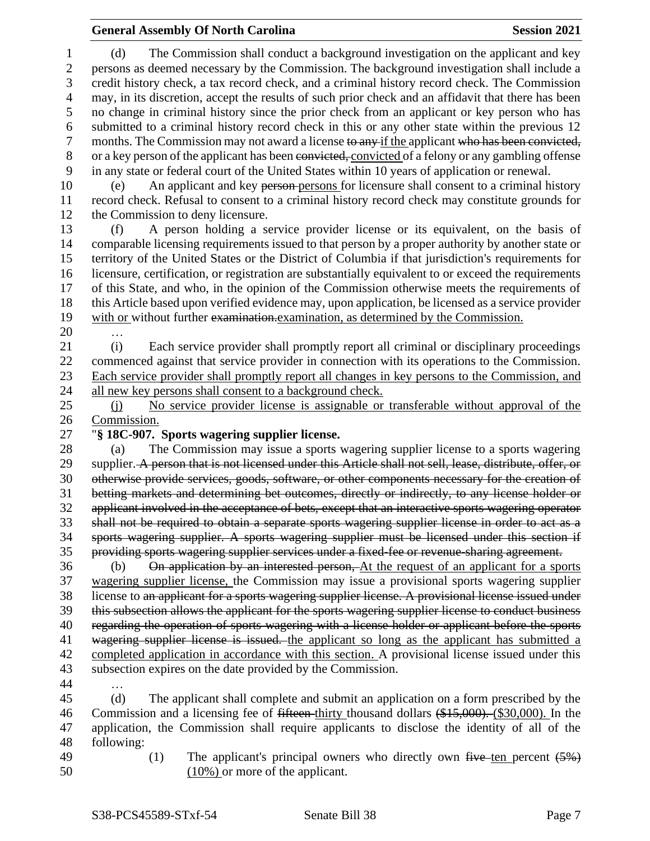(d) The Commission shall conduct a background investigation on the applicant and key persons as deemed necessary by the Commission. The background investigation shall include a credit history check, a tax record check, and a criminal history record check. The Commission may, in its discretion, accept the results of such prior check and an affidavit that there has been no change in criminal history since the prior check from an applicant or key person who has submitted to a criminal history record check in this or any other state within the previous 12 7 months. The Commission may not award a license to any if the applicant who has been convicted, or a key person of the applicant has been convicted, convicted of a felony or any gambling offense in any state or federal court of the United States within 10 years of application or renewal. (e) An applicant and key person persons for licensure shall consent to a criminal history record check. Refusal to consent to a criminal history record check may constitute grounds for the Commission to deny licensure. (f) A person holding a service provider license or its equivalent, on the basis of comparable licensing requirements issued to that person by a proper authority by another state or territory of the United States or the District of Columbia if that jurisdiction's requirements for licensure, certification, or registration are substantially equivalent to or exceed the requirements of this State, and who, in the opinion of the Commission otherwise meets the requirements of this Article based upon verified evidence may, upon application, be licensed as a service provider 19 with or without further examination.examination, as determined by the Commission. … (i) Each service provider shall promptly report all criminal or disciplinary proceedings commenced against that service provider in connection with its operations to the Commission. Each service provider shall promptly report all changes in key persons to the Commission, and 24 all new key persons shall consent to a background check. (j) No service provider license is assignable or transferable without approval of the Commission. "**§ 18C-907. Sports wagering supplier license.** (a) The Commission may issue a sports wagering supplier license to a sports wagering 29 supplier. A person that is not licensed under this Article shall not sell, lease, distribute, offer, or otherwise provide services, goods, software, or other components necessary for the creation of betting markets and determining bet outcomes, directly or indirectly, to any license holder or applicant involved in the acceptance of bets, except that an interactive sports wagering operator shall not be required to obtain a separate sports wagering supplier license in order to act as a sports wagering supplier. A sports wagering supplier must be licensed under this section if providing sports wagering supplier services under a fixed-fee or revenue-sharing agreement. (b) On application by an interested person, At the request of an applicant for a sports wagering supplier license, the Commission may issue a provisional sports wagering supplier license to an applicant for a sports wagering supplier license. A provisional license issued under this subsection allows the applicant for the sports wagering supplier license to conduct business 40 regarding the operation of sports wagering with a license holder or applicant before the sports 41 wagering supplier license is issued. the applicant so long as the applicant has submitted a completed application in accordance with this section. A provisional license issued under this

 subsection expires on the date provided by the Commission. …

 (d) The applicant shall complete and submit an application on a form prescribed by the Commission and a licensing fee of fifteen thirty thousand dollars (\$15,000). (\$30,000). In the application, the Commission shall require applicants to disclose the identity of all of the following:

- 
- 

49 (1) The applicant's principal owners who directly own five ten percent  $(5%)$ (10%) or more of the applicant.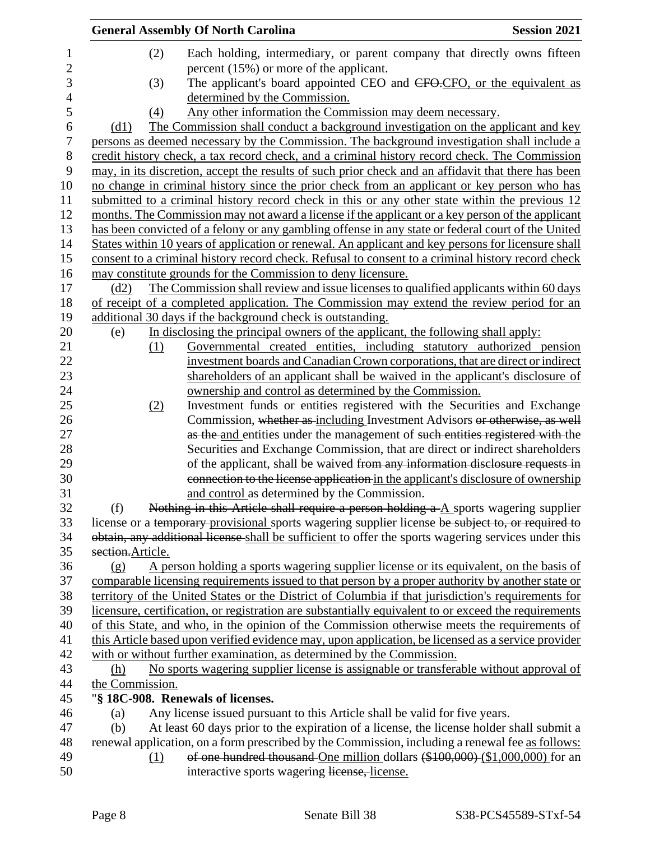|                          | <b>General Assembly Of North Carolina</b>                                                                                                                                        | <b>Session 2021</b> |
|--------------------------|----------------------------------------------------------------------------------------------------------------------------------------------------------------------------------|---------------------|
| $\mathbf 1$              | (2)<br>Each holding, intermediary, or parent company that directly owns fifteen                                                                                                  |                     |
| $\overline{c}$           | percent $(15\%)$ or more of the applicant.                                                                                                                                       |                     |
| 3                        | The applicant's board appointed CEO and CFO-CFO, or the equivalent as<br>(3)                                                                                                     |                     |
| $\overline{\mathcal{L}}$ | determined by the Commission.                                                                                                                                                    |                     |
| 5                        | Any other information the Commission may deem necessary.<br>(4)                                                                                                                  |                     |
| 6                        | The Commission shall conduct a background investigation on the applicant and key<br>(d1)                                                                                         |                     |
| 7                        | persons as deemed necessary by the Commission. The background investigation shall include a                                                                                      |                     |
| 8                        | credit history check, a tax record check, and a criminal history record check. The Commission                                                                                    |                     |
| 9                        | may, in its discretion, accept the results of such prior check and an affidavit that there has been                                                                              |                     |
| 10                       | no change in criminal history since the prior check from an applicant or key person who has                                                                                      |                     |
| 11                       | submitted to a criminal history record check in this or any other state within the previous 12                                                                                   |                     |
| 12                       | months. The Commission may not award a license if the applicant or a key person of the applicant                                                                                 |                     |
| 13                       | has been convicted of a felony or any gambling offense in any state or federal court of the United                                                                               |                     |
| 14                       | States within 10 years of application or renewal. An applicant and key persons for licensure shall                                                                               |                     |
| 15                       |                                                                                                                                                                                  |                     |
| 16                       | consent to a criminal history record check. Refusal to consent to a criminal history record check                                                                                |                     |
| 17                       | may constitute grounds for the Commission to deny licensure.<br>The Commission shall review and issue licenses to qualified applicants within 60 days<br>(d2)                    |                     |
|                          |                                                                                                                                                                                  |                     |
| 18<br>19                 | of receipt of a completed application. The Commission may extend the review period for an                                                                                        |                     |
| 20                       | additional 30 days if the background check is outstanding.                                                                                                                       |                     |
|                          | In disclosing the principal owners of the applicant, the following shall apply:<br>(e)<br>Governmental created entities, including statutory authorized pension<br>(1)           |                     |
| 21<br>22                 | investment boards and Canadian Crown corporations, that are direct or indirect                                                                                                   |                     |
|                          |                                                                                                                                                                                  |                     |
| 23<br>24                 | shareholders of an applicant shall be waived in the applicant's disclosure of                                                                                                    |                     |
| 25                       | ownership and control as determined by the Commission.                                                                                                                           |                     |
|                          | Investment funds or entities registered with the Securities and Exchange<br>(2)                                                                                                  |                     |
| 26<br>27                 | Commission, whether as including Investment Advisors or otherwise, as well                                                                                                       |                     |
|                          | as the and entities under the management of such entities registered with the<br>Securities and Exchange Commission, that are direct or indirect shareholders                    |                     |
| 28                       |                                                                                                                                                                                  |                     |
| 29<br>30                 | of the applicant, shall be waived from any information disclosure requests in                                                                                                    |                     |
| 31                       | connection to the license application in the applicant's disclosure of ownership                                                                                                 |                     |
|                          | and control as determined by the Commission.                                                                                                                                     |                     |
| 32                       | Nothing in this Article shall require a person holding $a - A$ sports wagering supplier<br>(f)                                                                                   |                     |
| 33                       | license or a temporary provisional sports wagering supplier license be subject to, or required to                                                                                |                     |
| 34                       | obtain, any additional license shall be sufficient to offer the sports wagering services under this                                                                              |                     |
| 35                       | section.Article.                                                                                                                                                                 |                     |
| 36<br>37                 | A person holding a sports wagering supplier license or its equivalent, on the basis of<br>(g)                                                                                    |                     |
| 38                       | comparable licensing requirements issued to that person by a proper authority by another state or                                                                                |                     |
|                          | territory of the United States or the District of Columbia if that jurisdiction's requirements for                                                                               |                     |
| 39<br>40                 | licensure, certification, or registration are substantially equivalent to or exceed the requirements                                                                             |                     |
| 41                       | of this State, and who, in the opinion of the Commission otherwise meets the requirements of                                                                                     |                     |
|                          | this Article based upon verified evidence may, upon application, be licensed as a service provider                                                                               |                     |
| 42                       | with or without further examination, as determined by the Commission.                                                                                                            |                     |
| 43                       | No sports wagering supplier license is assignable or transferable without approval of<br>(h)                                                                                     |                     |
| 44<br>45                 | the Commission.<br>"§ 18C-908. Renewals of licenses.                                                                                                                             |                     |
|                          |                                                                                                                                                                                  |                     |
| 46                       | Any license issued pursuant to this Article shall be valid for five years.<br>(a)                                                                                                |                     |
| 47<br>48                 | At least 60 days prior to the expiration of a license, the license holder shall submit a<br>(b)                                                                                  |                     |
| 49                       | renewal application, on a form prescribed by the Commission, including a renewal fee as follows:<br>of one hundred thousand One million dollars (\$100,000) (\$1,000,000) for an |                     |
| 50                       | (1)<br>interactive sports wagering license, license.                                                                                                                             |                     |
|                          |                                                                                                                                                                                  |                     |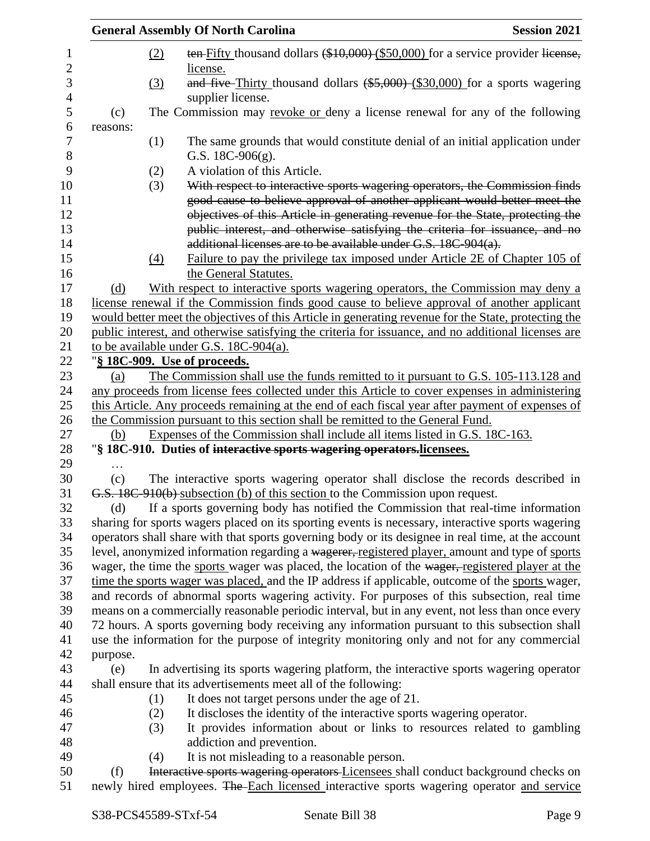|          |            | <b>General Assembly Of North Carolina</b>                                                                                                                   | <b>Session 2021</b> |
|----------|------------|-------------------------------------------------------------------------------------------------------------------------------------------------------------|---------------------|
|          | (2)        | ten-Fifty thousand dollars (\$10,000) (\$50,000) for a service provider license,<br>license.                                                                |                     |
|          | <u>(3)</u> | and five-Thirty thousand dollars $(*5,000)$ (\$30,000) for a sports wagering<br>supplier license.                                                           |                     |
| (c)      |            | The Commission may revoke or deny a license renewal for any of the following                                                                                |                     |
| reasons: |            |                                                                                                                                                             |                     |
|          | (1)        | The same grounds that would constitute denial of an initial application under                                                                               |                     |
|          |            | G.S. $18C-906(g)$ .                                                                                                                                         |                     |
|          | (2)        | A violation of this Article.                                                                                                                                |                     |
|          | (3)        | With respect to interactive sports wagering operators, the Commission finds                                                                                 |                     |
|          |            | good cause to believe approval of another applicant would better meet the<br>objectives of this Article in generating revenue for the State, protecting the |                     |
|          |            | public interest, and otherwise satisfying the criteria for issuance, and no                                                                                 |                     |
|          |            | additional licenses are to be available under G.S. 18C-904(a).                                                                                              |                     |
|          | (4)        | Failure to pay the privilege tax imposed under Article 2E of Chapter 105 of                                                                                 |                     |
|          |            | the General Statutes.                                                                                                                                       |                     |
| (d)      |            | With respect to interactive sports wagering operators, the Commission may deny a                                                                            |                     |
|          |            | license renewal if the Commission finds good cause to believe approval of another applicant                                                                 |                     |
|          |            | would better meet the objectives of this Article in generating revenue for the State, protecting the                                                        |                     |
|          |            | public interest, and otherwise satisfying the criteria for issuance, and no additional licenses are                                                         |                     |
|          |            | to be available under G.S. 18C-904(a).                                                                                                                      |                     |
|          |            | "§ 18C-909. Use of proceeds.                                                                                                                                |                     |
| (a)      |            | The Commission shall use the funds remitted to it pursuant to G.S. 105-113.128 and                                                                          |                     |
|          |            | any proceeds from license fees collected under this Article to cover expenses in administering                                                              |                     |
|          |            | this Article. Any proceeds remaining at the end of each fiscal year after payment of expenses of                                                            |                     |
|          |            | the Commission pursuant to this section shall be remitted to the General Fund.                                                                              |                     |
| (b)      |            | Expenses of the Commission shall include all items listed in G.S. 18C-163.<br>"§ 18C-910. Duties of interactive sports wagering operators.licensees.        |                     |
|          |            |                                                                                                                                                             |                     |
| (c)      |            | The interactive sports wagering operator shall disclose the records described in                                                                            |                     |
|          |            | G.S. 18C-910(b) subsection (b) of this section to the Commission upon request.                                                                              |                     |
| (d)      |            | If a sports governing body has notified the Commission that real-time information                                                                           |                     |
|          |            | sharing for sports wagers placed on its sporting events is necessary, interactive sports wagering                                                           |                     |
|          |            | operators shall share with that sports governing body or its designee in real time, at the account                                                          |                     |
|          |            | level, anonymized information regarding a wagerer, registered player, amount and type of sports                                                             |                     |
|          |            | wager, the time the sports wager was placed, the location of the wager, registered player at the                                                            |                     |
|          |            | time the sports wager was placed, and the IP address if applicable, outcome of the sports wager,                                                            |                     |
|          |            | and records of abnormal sports wagering activity. For purposes of this subsection, real time                                                                |                     |
|          |            | means on a commercially reasonable periodic interval, but in any event, not less than once every                                                            |                     |
|          |            | 72 hours. A sports governing body receiving any information pursuant to this subsection shall                                                               |                     |
|          |            | use the information for the purpose of integrity monitoring only and not for any commercial                                                                 |                     |
| purpose. |            |                                                                                                                                                             |                     |
| (e)      |            | In advertising its sports wagering platform, the interactive sports wagering operator                                                                       |                     |
|          |            | shall ensure that its advertisements meet all of the following:                                                                                             |                     |
|          | (1)        | It does not target persons under the age of 21.                                                                                                             |                     |
|          | (2)        | It discloses the identity of the interactive sports wagering operator.                                                                                      |                     |
|          | (3)        | It provides information about or links to resources related to gambling                                                                                     |                     |
|          | (4)        | addiction and prevention.<br>It is not misleading to a reasonable person.                                                                                   |                     |
| (f)      |            | Interactive sports wagering operators Licensees shall conduct background checks on                                                                          |                     |
|          |            | newly hired employees. The Each licensed interactive sports wagering operator and service                                                                   |                     |
|          |            |                                                                                                                                                             |                     |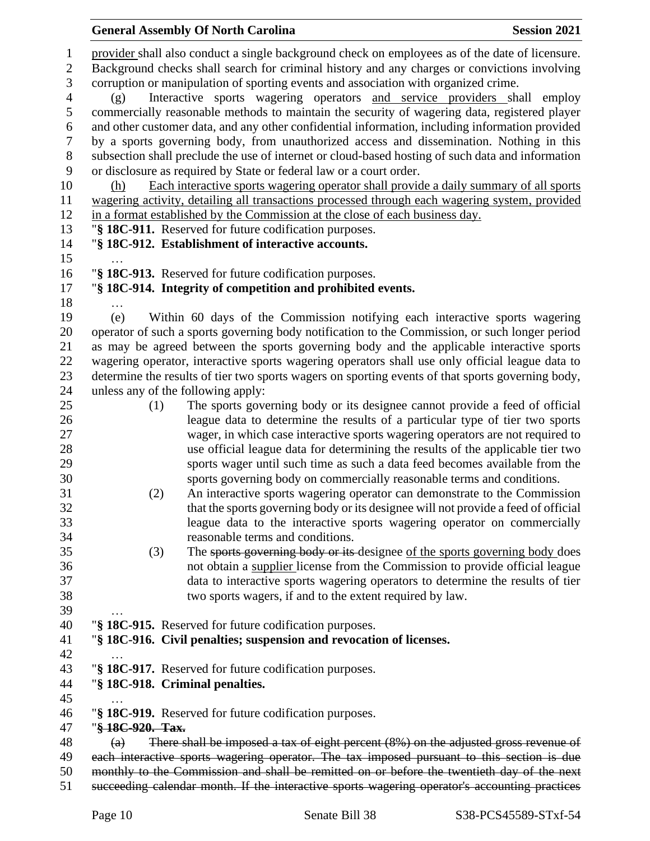|                   | <b>General Assembly Of North Carolina</b>                                                                                                                                                       | <b>Session 2021</b> |
|-------------------|-------------------------------------------------------------------------------------------------------------------------------------------------------------------------------------------------|---------------------|
| 1<br>$\mathbf{2}$ | provider shall also conduct a single background check on employees as of the date of licensure.<br>Background checks shall search for criminal history and any charges or convictions involving |                     |
| 3                 | corruption or manipulation of sporting events and association with organized crime.                                                                                                             |                     |
| $\overline{4}$    | Interactive sports wagering operators and service providers shall<br>(g)                                                                                                                        | employ              |
| 5                 | commercially reasonable methods to maintain the security of wagering data, registered player                                                                                                    |                     |
| 6                 | and other customer data, and any other confidential information, including information provided                                                                                                 |                     |
| 7                 | by a sports governing body, from unauthorized access and dissemination. Nothing in this                                                                                                         |                     |
| $8\,$             | subsection shall preclude the use of internet or cloud-based hosting of such data and information                                                                                               |                     |
| 9                 | or disclosure as required by State or federal law or a court order.                                                                                                                             |                     |
| 10                | Each interactive sports wagering operator shall provide a daily summary of all sports<br>(h)                                                                                                    |                     |
| 11<br>12          | wagering activity, detailing all transactions processed through each wagering system, provided<br>in a format established by the Commission at the close of each business day.                  |                     |
| 13                | "§ 18C-911. Reserved for future codification purposes.                                                                                                                                          |                     |
| 14                | "§ 18C-912. Establishment of interactive accounts.                                                                                                                                              |                     |
| 15                |                                                                                                                                                                                                 |                     |
| 16                | "§ 18C-913. Reserved for future codification purposes.                                                                                                                                          |                     |
| 17                | "§ 18C-914. Integrity of competition and prohibited events.                                                                                                                                     |                     |
| 18                | .                                                                                                                                                                                               |                     |
| 19                | Within 60 days of the Commission notifying each interactive sports wagering<br>(e)                                                                                                              |                     |
| 20                | operator of such a sports governing body notification to the Commission, or such longer period                                                                                                  |                     |
| 21                | as may be agreed between the sports governing body and the applicable interactive sports                                                                                                        |                     |
| 22                | wagering operator, interactive sports wagering operators shall use only official league data to                                                                                                 |                     |
| 23<br>24          | determine the results of tier two sports wagers on sporting events of that sports governing body,<br>unless any of the following apply:                                                         |                     |
| 25                | The sports governing body or its designee cannot provide a feed of official<br>(1)                                                                                                              |                     |
| 26                | league data to determine the results of a particular type of tier two sports                                                                                                                    |                     |
| 27                | wager, in which case interactive sports wagering operators are not required to                                                                                                                  |                     |
| 28                | use official league data for determining the results of the applicable tier two                                                                                                                 |                     |
| 29                | sports wager until such time as such a data feed becomes available from the                                                                                                                     |                     |
| 30                | sports governing body on commercially reasonable terms and conditions.                                                                                                                          |                     |
| 31                | An interactive sports wagering operator can demonstrate to the Commission<br>(2)                                                                                                                |                     |
| 32                | that the sports governing body or its designee will not provide a feed of official                                                                                                              |                     |
| 33                | league data to the interactive sports wagering operator on commercially                                                                                                                         |                     |
| 34                | reasonable terms and conditions.                                                                                                                                                                |                     |
| 35                | The sports governing body or its designee of the sports governing body does<br>(3)                                                                                                              |                     |
| 36<br>37          | not obtain a supplier license from the Commission to provide official league<br>data to interactive sports wagering operators to determine the results of tier                                  |                     |
| 38                | two sports wagers, if and to the extent required by law.                                                                                                                                        |                     |
| 39                |                                                                                                                                                                                                 |                     |
| 40                | "§ 18C-915. Reserved for future codification purposes.                                                                                                                                          |                     |
| 41                | "§ 18C-916. Civil penalties; suspension and revocation of licenses.                                                                                                                             |                     |
| 42                |                                                                                                                                                                                                 |                     |
| 43                | "§ 18C-917. Reserved for future codification purposes.                                                                                                                                          |                     |
| 44                | "§ 18C-918. Criminal penalties.                                                                                                                                                                 |                     |
| 45                |                                                                                                                                                                                                 |                     |
| 46                | "§ 18C-919. Reserved for future codification purposes.                                                                                                                                          |                     |
| 47                | "§ 18C-920. Tax.                                                                                                                                                                                |                     |
| 48<br>49          | There shall be imposed a tax of eight percent (8%) on the adjusted gross revenue of<br>(a)<br>each interactive sports wagering operator. The tax imposed pursuant to this section is due        |                     |
| 50                | monthly to the Commission and shall be remitted on or before the twentieth day of the next                                                                                                      |                     |
| 51                | succeeding calendar month. If the interactive sports wagering operator's accounting practices                                                                                                   |                     |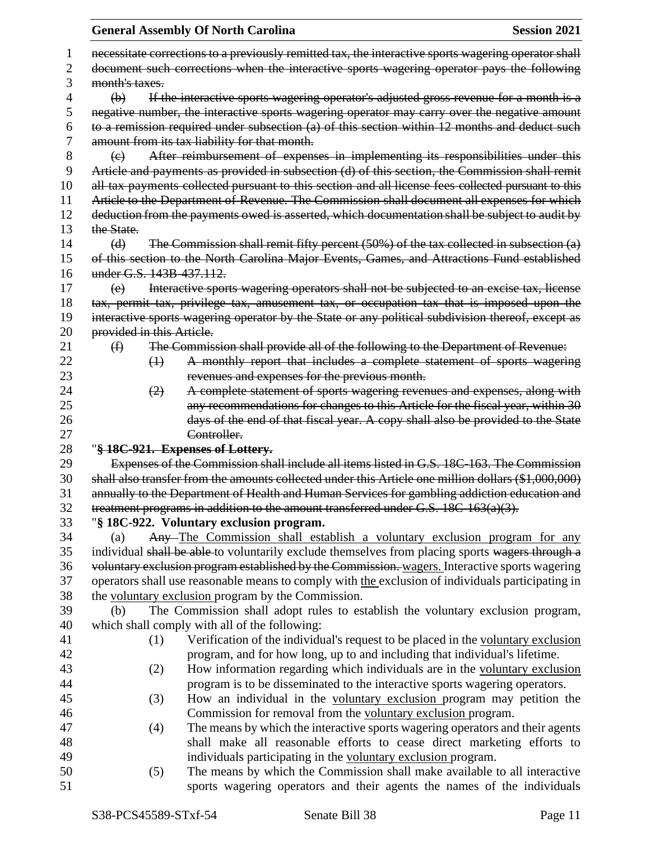|    |                           | <b>General Assembly Of North Carolina</b>                                                            | <b>Session 2021</b> |
|----|---------------------------|------------------------------------------------------------------------------------------------------|---------------------|
| 1  |                           | necessitate corrections to a previously remitted tax, the interactive sports wagering operator shall |                     |
| 2  |                           | document such corrections when the interactive sports wagering operator pays the following           |                     |
| 3  | month's taxes.            |                                                                                                      |                     |
| 4  | $\Theta$                  | If the interactive sports wagering operator's adjusted gross revenue for a month is a                |                     |
| 5  |                           | negative number, the interactive sports wagering operator may carry over the negative amount         |                     |
| 6  |                           | to a remission required under subsection (a) of this section within 12 months and deduct such        |                     |
| 7  |                           | amount from its tax liability for that month.                                                        |                     |
| 8  | $\left(\mathrm{e}\right)$ | After reimbursement of expenses in implementing its responsibilities under this                      |                     |
| 9  |                           | Article and payments as provided in subsection (d) of this section, the Commission shall remit       |                     |
| 10 |                           | all tax payments collected pursuant to this section and all license fees collected pursuant to this  |                     |
| 11 |                           | Article to the Department of Revenue. The Commission shall document all expenses for which           |                     |
| 12 |                           | deduction from the payments owed is asserted, which documentation shall be subject to audit by       |                     |
| 13 | the State.                |                                                                                                      |                     |
| 14 |                           |                                                                                                      |                     |
|    | (d)                       | The Commission shall remit fifty percent $(50%)$ of the tax collected in subsection $(a)$            |                     |
| 15 | under G.S. 143B-437.112.  | of this section to the North Carolina Major Events, Games, and Attractions Fund established          |                     |
| 16 |                           |                                                                                                      |                     |
| 17 | (e)                       | Interactive sports wagering operators shall not be subjected to an excise tax, license               |                     |
| 18 |                           | tax, permit tax, privilege tax, amusement tax, or occupation tax that is imposed upon the            |                     |
| 19 |                           | interactive sports wagering operator by the State or any political subdivision thereof, except as    |                     |
| 20 | provided in this Article. |                                                                                                      |                     |
| 21 | $\bigoplus$               | The Commission shall provide all of the following to the Department of Revenue:                      |                     |
| 22 | $\leftrightarrow$         | A monthly report that includes a complete statement of sports wagering                               |                     |
| 23 |                           | revenues and expenses for the previous month.                                                        |                     |
| 24 | (2)                       | A complete statement of sports wagering revenues and expenses, along with                            |                     |
| 25 |                           | any recommendations for changes to this Article for the fiscal year, within 30                       |                     |
| 26 |                           | days of the end of that fiscal year. A copy shall also be provided to the State                      |                     |
| 27 |                           | Controller.                                                                                          |                     |
| 28 |                           | "§ 18C-921. Expenses of Lottery.                                                                     |                     |
| 29 |                           | Expenses of the Commission shall include all items listed in G.S. 18C-163. The Commission            |                     |
| 30 |                           | shall also transfer from the amounts collected under this Article one million dollars (\$1,000,000)  |                     |
| 31 |                           | annually to the Department of Health and Human Services for gambling addiction education and         |                     |
| 32 |                           | treatment programs in addition to the amount transferred under G.S. 18C-163(a)(3).                   |                     |
| 33 |                           | "§ 18C-922. Voluntary exclusion program.                                                             |                     |
| 34 | (a)                       | Any-The Commission shall establish a voluntary exclusion program for any                             |                     |
| 35 |                           | individual shall be able to voluntarily exclude themselves from placing sports wagers through a      |                     |
| 36 |                           | voluntary exclusion program established by the Commission. wagers. Interactive sports wagering       |                     |
| 37 |                           | operators shall use reasonable means to comply with the exclusion of individuals participating in    |                     |
| 38 |                           | the voluntary exclusion program by the Commission.                                                   |                     |
| 39 | (b)                       | The Commission shall adopt rules to establish the voluntary exclusion program,                       |                     |
| 40 |                           | which shall comply with all of the following:                                                        |                     |
| 41 | (1)                       | Verification of the individual's request to be placed in the voluntary exclusion                     |                     |
| 42 |                           | program, and for how long, up to and including that individual's lifetime.                           |                     |
| 43 | (2)                       | How information regarding which individuals are in the voluntary exclusion                           |                     |
| 44 |                           | program is to be disseminated to the interactive sports wagering operators.                          |                     |
| 45 | (3)                       | How an individual in the voluntary exclusion program may petition the                                |                     |
| 46 |                           | Commission for removal from the voluntary exclusion program.                                         |                     |
| 47 | (4)                       | The means by which the interactive sports wagering operators and their agents                        |                     |
| 48 |                           | shall make all reasonable efforts to cease direct marketing efforts to                               |                     |
| 49 |                           | individuals participating in the voluntary exclusion program.                                        |                     |
| 50 | (5)                       | The means by which the Commission shall make available to all interactive                            |                     |
| 51 |                           | sports wagering operators and their agents the names of the individuals                              |                     |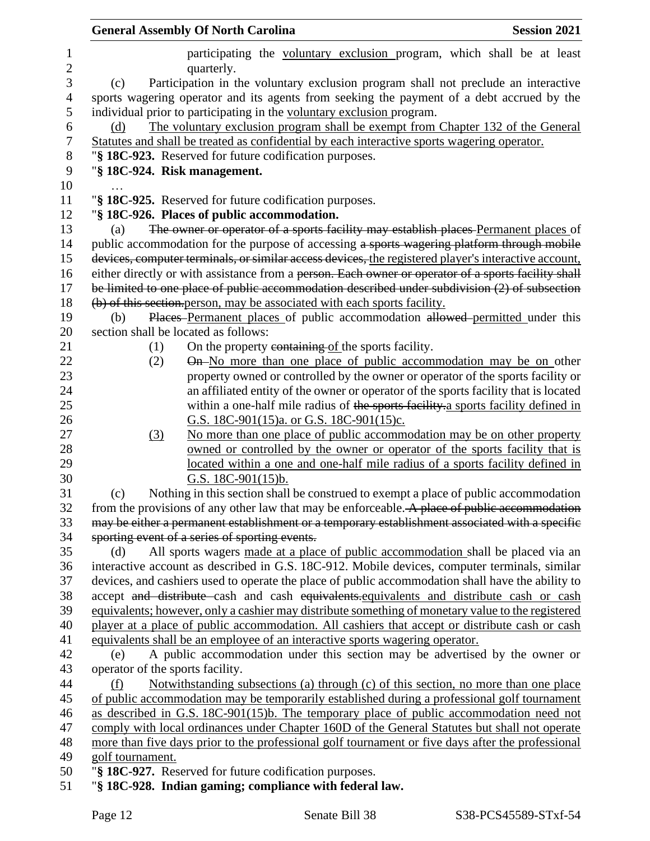| <b>General Assembly Of North Carolina</b>                                                                                                         | <b>Session 2021</b> |
|---------------------------------------------------------------------------------------------------------------------------------------------------|---------------------|
| participating the voluntary exclusion program, which shall be at least<br>quarterly.                                                              |                     |
| Participation in the voluntary exclusion program shall not preclude an interactive<br>(c)                                                         |                     |
| sports wagering operator and its agents from seeking the payment of a debt accrued by the                                                         |                     |
| individual prior to participating in the voluntary exclusion program.                                                                             |                     |
| The voluntary exclusion program shall be exempt from Chapter 132 of the General<br>(d)                                                            |                     |
| Statutes and shall be treated as confidential by each interactive sports wagering operator.                                                       |                     |
| "§ 18C-923. Reserved for future codification purposes.                                                                                            |                     |
| "§ 18C-924. Risk management.                                                                                                                      |                     |
|                                                                                                                                                   |                     |
| "§ 18C-925. Reserved for future codification purposes.                                                                                            |                     |
| "§ 18C-926. Places of public accommodation.                                                                                                       |                     |
| The owner or operator of a sports facility may establish places Permanent places of<br>(a)                                                        |                     |
| public accommodation for the purpose of accessing a sports wagering platform through mobile                                                       |                     |
| devices, computer terminals, or similar access devices, the registered player's interactive account,                                              |                     |
| either directly or with assistance from a person. Each owner or operator of a sports facility shall                                               |                     |
| be limited to one place of public accommodation described under subdivision $(2)$ of subsection                                                   |                     |
| (b) of this section person, may be associated with each sports facility.                                                                          |                     |
| Places Permanent places of public accommodation allowed permitted under this<br>(b)                                                               |                     |
| section shall be located as follows:                                                                                                              |                     |
| On the property containing of the sports facility.<br>(1)                                                                                         |                     |
| On-No more than one place of public accommodation may be on other<br>(2)                                                                          |                     |
| property owned or controlled by the owner or operator of the sports facility or                                                                   |                     |
| an affiliated entity of the owner or operator of the sports facility that is located                                                              |                     |
| within a one-half mile radius of the sports facility a sports facility defined in                                                                 |                     |
| G.S. 18C-901(15)a. or G.S. 18C-901(15)c.                                                                                                          |                     |
| No more than one place of public accommodation may be on other property<br>(3)                                                                    |                     |
| owned or controlled by the owner or operator of the sports facility that is                                                                       |                     |
| located within a one and one-half mile radius of a sports facility defined in                                                                     |                     |
| G.S. $18C-901(15)b$ .                                                                                                                             |                     |
| Nothing in this section shall be construed to exempt a place of public accommodation<br>(c)                                                       |                     |
| from the provisions of any other law that may be enforceable. A place of public accommodation                                                     |                     |
| may be either a permanent establishment or a temporary establishment associated with a specific<br>sporting event of a series of sporting events. |                     |
| All sports wagers made at a place of public accommodation shall be placed via an<br>(d)                                                           |                     |
| interactive account as described in G.S. 18C-912. Mobile devices, computer terminals, similar                                                     |                     |
| devices, and cashiers used to operate the place of public accommodation shall have the ability to                                                 |                     |
| accept and distribute cash and cash equivalents.equivalents and distribute cash or cash                                                           |                     |
| equivalents; however, only a cashier may distribute something of monetary value to the registered                                                 |                     |
| player at a place of public accommodation. All cashiers that accept or distribute cash or cash                                                    |                     |
| equivalents shall be an employee of an interactive sports wagering operator.                                                                      |                     |
| A public accommodation under this section may be advertised by the owner or<br>(e)                                                                |                     |
| operator of the sports facility.                                                                                                                  |                     |
| Notwithstanding subsections (a) through (c) of this section, no more than one place<br>(f)                                                        |                     |
| of public accommodation may be temporarily established during a professional golf tournament                                                      |                     |
| as described in G.S. 18C-901(15)b. The temporary place of public accommodation need not                                                           |                     |
| comply with local ordinances under Chapter 160D of the General Statutes but shall not operate                                                     |                     |
| more than five days prior to the professional golf tournament or five days after the professional                                                 |                     |
| golf tournament.                                                                                                                                  |                     |
| "§ 18C-927. Reserved for future codification purposes.                                                                                            |                     |
| "§ 18C-928. Indian gaming; compliance with federal law.                                                                                           |                     |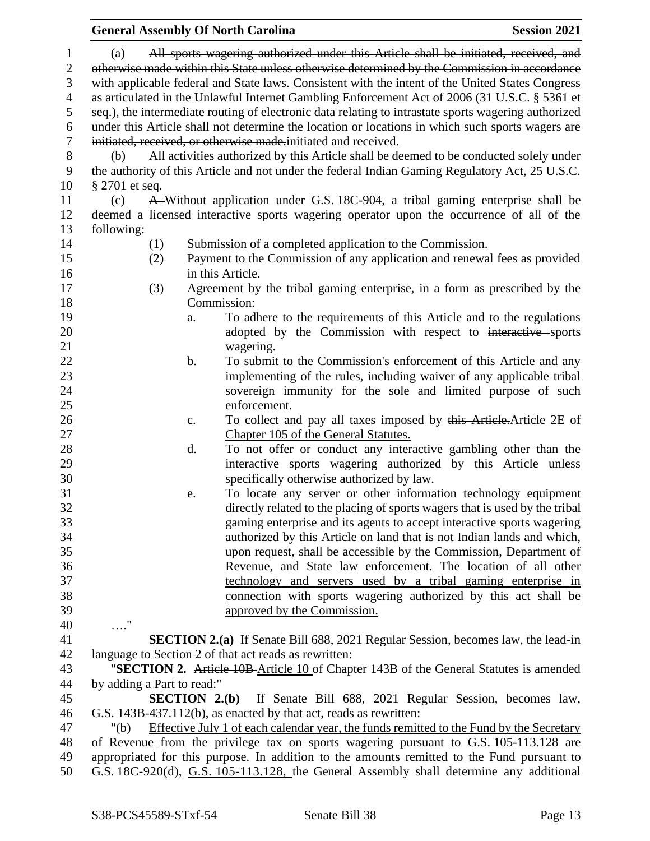## **General Assembly Of North Carolina Session 2021**  (a) All sports wagering authorized under this Article shall be initiated, received, and 2 otherwise made within this State unless otherwise determined by the Commission in accordance with applicable federal and State laws. Consistent with the intent of the United States Congress as articulated in the Unlawful Internet Gambling Enforcement Act of 2006 (31 U.S.C. § 5361 et seq.), the intermediate routing of electronic data relating to intrastate sports wagering authorized under this Article shall not determine the location or locations in which such sports wagers are initiated, received, or otherwise made.initiated and received. (b) All activities authorized by this Article shall be deemed to be conducted solely under the authority of this Article and not under the federal Indian Gaming Regulatory Act, 25 U.S.C. § 2701 et seq. (c) A Without application under G.S. 18C-904, a tribal gaming enterprise shall be deemed a licensed interactive sports wagering operator upon the occurrence of all of the following: (1) Submission of a completed application to the Commission. (2) Payment to the Commission of any application and renewal fees as provided in this Article. (3) Agreement by the tribal gaming enterprise, in a form as prescribed by the Commission: a. To adhere to the requirements of this Article and to the regulations 20 adopted by the Commission with respect to interactive sports wagering. 22 b. To submit to the Commission's enforcement of this Article and any implementing of the rules, including waiver of any applicable tribal sovereign immunity for the sole and limited purpose of such enforcement. 26 c. To collect and pay all taxes imposed by this Article.Article 2E of Chapter 105 of the General Statutes. d. To not offer or conduct any interactive gambling other than the interactive sports wagering authorized by this Article unless specifically otherwise authorized by law. e. To locate any server or other information technology equipment directly related to the placing of sports wagers that is used by the tribal gaming enterprise and its agents to accept interactive sports wagering authorized by this Article on land that is not Indian lands and which, upon request, shall be accessible by the Commission, Department of Revenue, and State law enforcement. The location of all other technology and servers used by a tribal gaming enterprise in connection with sports wagering authorized by this act shall be approved by the Commission. …." **SECTION 2.(a)** If Senate Bill 688, 2021 Regular Session, becomes law, the lead-in language to Section 2 of that act reads as rewritten: "**SECTION 2.** Article 10B Article 10 of Chapter 143B of the General Statutes is amended by adding a Part to read:" **SECTION 2.(b)** If Senate Bill 688, 2021 Regular Session, becomes law, G.S. 143B-437.112(b), as enacted by that act, reads as rewritten: "(b) Effective July 1 of each calendar year, the funds remitted to the Fund by the Secretary of Revenue from the privilege tax on sports wagering pursuant to G.S. 105-113.128 are appropriated for this purpose. In addition to the amounts remitted to the Fund pursuant to G.S. 18C-920(d), G.S. 105-113.128, the General Assembly shall determine any additional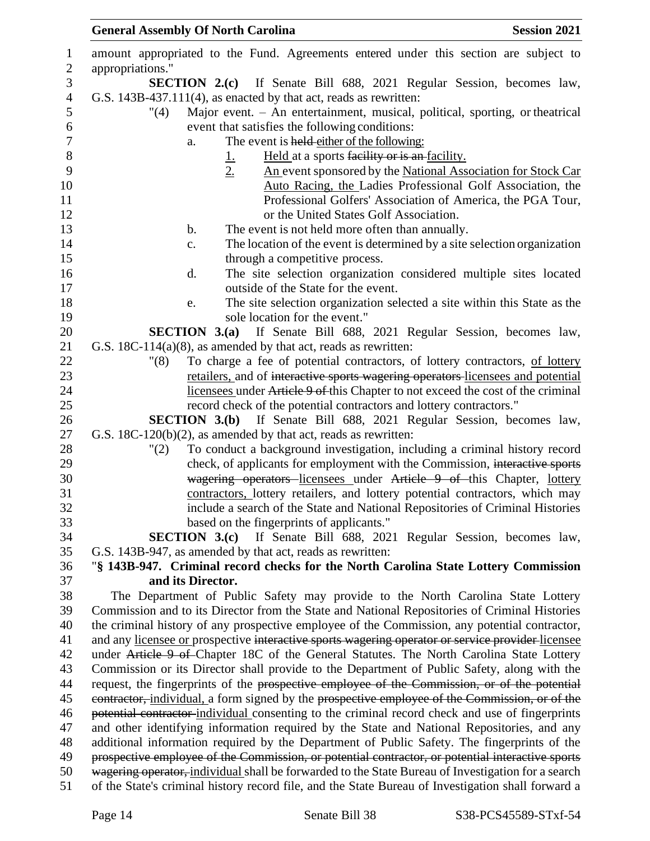| $\mathbf{1}$     | amount appropriated to the Fund. Agreements entered under this section are subject to                |
|------------------|------------------------------------------------------------------------------------------------------|
| $\overline{2}$   | appropriations."                                                                                     |
| 3                | <b>SECTION 2.(c)</b> If Senate Bill 688, 2021 Regular Session, becomes law,                          |
| $\overline{4}$   | G.S. 143B-437.111(4), as enacted by that act, reads as rewritten:                                    |
| 5                | Major event. - An entertainment, musical, political, sporting, or theatrical<br>$^{\prime\prime}(4)$ |
| 6                | event that satisfies the following conditions:                                                       |
| $\boldsymbol{7}$ | The event is held either of the following:<br>a.                                                     |
| $8\,$            | Held at a sports facility or is an facility.                                                         |
| 9                | $\frac{1}{2}$<br>An event sponsored by the National Association for Stock Car                        |
| 10               | Auto Racing, the Ladies Professional Golf Association, the                                           |
| 11               | Professional Golfers' Association of America, the PGA Tour,                                          |
| 12               | or the United States Golf Association.                                                               |
| 13               | The event is not held more often than annually.<br>b.                                                |
| 14               | The location of the event is determined by a site selection organization<br>c.                       |
| 15               | through a competitive process.                                                                       |
| 16               | The site selection organization considered multiple sites located<br>$\mathbf{d}$ .                  |
| 17               | outside of the State for the event.                                                                  |
| 18               | The site selection organization selected a site within this State as the<br>e.                       |
| 19               | sole location for the event."                                                                        |
| 20               | <b>SECTION 3.(a)</b> If Senate Bill 688, 2021 Regular Session, becomes law,                          |
| 21               | G.S. $18C-114(a)(8)$ , as amended by that act, reads as rewritten:                                   |
| 22               | To charge a fee of potential contractors, of lottery contractors, of lottery<br>"(8)                 |
| 23               | retailers, and of interactive sports wagering operators licensees and potential                      |
| 24               | licensees under Article 9 of this Chapter to not exceed the cost of the criminal                     |
| 25               | record check of the potential contractors and lottery contractors."                                  |
| 26               | <b>SECTION 3.(b)</b> If Senate Bill 688, 2021 Regular Session, becomes law,                          |
| 27               | G.S. 18C-120(b)(2), as amended by that act, reads as rewritten:                                      |
| 28               | To conduct a background investigation, including a criminal history record<br>"(2)                   |
| 29               | check, of applicants for employment with the Commission, interactive sports                          |
| 30               | wagering operators licensees under Article 9 of this Chapter, lottery                                |
| 31               | contractors, lottery retailers, and lottery potential contractors, which may                         |
| 32               | include a search of the State and National Repositories of Criminal Histories                        |
| 33               | based on the fingerprints of applicants."                                                            |
| 34               | <b>SECTION 3.(c)</b> If Senate Bill 688, 2021 Regular Session, becomes law,                          |
| 35               | G.S. 143B-947, as amended by that act, reads as rewritten:                                           |
| 36               | "§ 143B-947. Criminal record checks for the North Carolina State Lottery Commission                  |
| 37               | and its Director.                                                                                    |
| 38               | The Department of Public Safety may provide to the North Carolina State Lottery                      |
| 39               | Commission and to its Director from the State and National Repositories of Criminal Histories        |
| 40               | the criminal history of any prospective employee of the Commission, any potential contractor,        |
| 41               | and any licensee or prospective interactive sports wagering operator or service provider licensee    |
| 42               | under Article 9 of Chapter 18C of the General Statutes. The North Carolina State Lottery             |
| 43               | Commission or its Director shall provide to the Department of Public Safety, along with the          |
| 44               | request, the fingerprints of the prospective employee of the Commission, or of the potential         |
| 45               | contractor, individual, a form signed by the prospective employee of the Commission, or of the       |
| 46               | potential contractor individual consenting to the criminal record check and use of fingerprints      |
| 47               | and other identifying information required by the State and National Repositories, and any           |
| 48               | additional information required by the Department of Public Safety. The fingerprints of the          |
| 49               | prospective employee of the Commission, or potential contractor, or potential interactive sports     |
| 50               | wagering operator, individual shall be forwarded to the State Bureau of Investigation for a search   |
| 51               | of the State's criminal history record file, and the State Bureau of Investigation shall forward a   |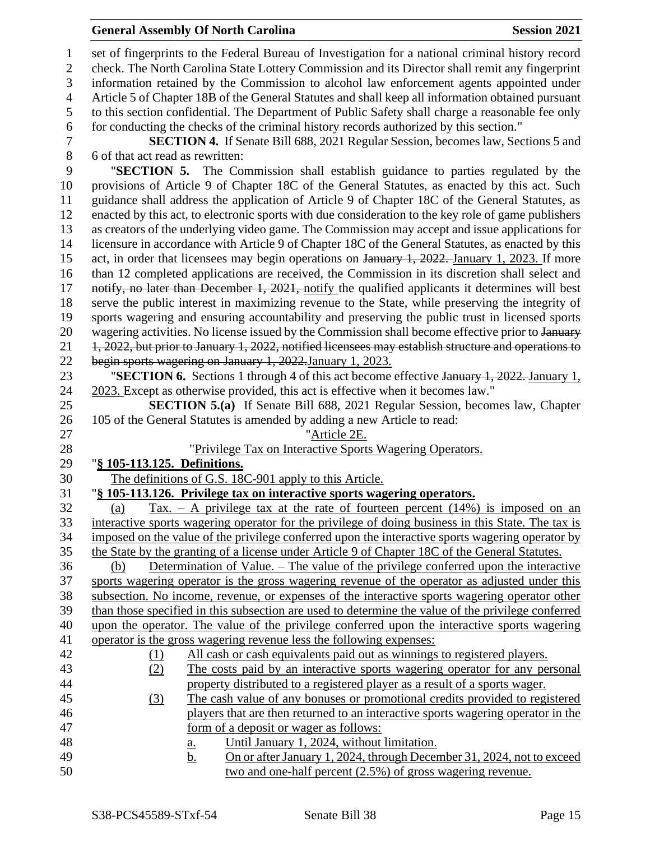#### **General Assembly Of North Carolina Session 2021**

 set of fingerprints to the Federal Bureau of Investigation for a national criminal history record check. The North Carolina State Lottery Commission and its Director shall remit any fingerprint information retained by the Commission to alcohol law enforcement agents appointed under Article 5 of Chapter 18B of the General Statutes and shall keep all information obtained pursuant to this section confidential. The Department of Public Safety shall charge a reasonable fee only for conducting the checks of the criminal history records authorized by this section." **SECTION 4.** If Senate Bill 688, 2021 Regular Session, becomes law, Sections 5 and 6 of that act read as rewritten: "**SECTION 5.** The Commission shall establish guidance to parties regulated by the provisions of Article 9 of Chapter 18C of the General Statutes, as enacted by this act. Such guidance shall address the application of Article 9 of Chapter 18C of the General Statutes, as enacted by this act, to electronic sports with due consideration to the key role of game publishers as creators of the underlying video game. The Commission may accept and issue applications for licensure in accordance with Article 9 of Chapter 18C of the General Statutes, as enacted by this 15 act, in order that licensees may begin operations on January 1, 2022. January 1, 2023. If more than 12 completed applications are received, the Commission in its discretion shall select and 17 notify, no later than December 1, 2021, notify the qualified applicants it determines will best serve the public interest in maximizing revenue to the State, while preserving the integrity of sports wagering and ensuring accountability and preserving the public trust in licensed sports 20 wagering activities. No license issued by the Commission shall become effective prior to January 1, 2022, but prior to January 1, 2022, notified licensees may establish structure and operations to begin sports wagering on January 1, 2022.January 1, 2023. "**SECTION 6.** Sections 1 through 4 of this act become effective January 1, 2022. January 1, 2023. Except as otherwise provided, this act is effective when it becomes law." **SECTION 5.(a)** If Senate Bill 688, 2021 Regular Session, becomes law, Chapter 105 of the General Statutes is amended by adding a new Article to read: "Article 2E. "Privilege Tax on Interactive Sports Wagering Operators. "**§ 105-113.125. Definitions.** The definitions of G.S. 18C-901 apply to this Article. "**§ 105-113.126. Privilege tax on interactive sports wagering operators.** 32 (a) Tax. – A privilege tax at the rate of fourteen percent  $(14%)$  is imposed on an interactive sports wagering operator for the privilege of doing business in this State. The tax is imposed on the value of the privilege conferred upon the interactive sports wagering operator by the State by the granting of a license under Article 9 of Chapter 18C of the General Statutes. (b) Determination of Value. – The value of the privilege conferred upon the interactive sports wagering operator is the gross wagering revenue of the operator as adjusted under this subsection. No income, revenue, or expenses of the interactive sports wagering operator other than those specified in this subsection are used to determine the value of the privilege conferred upon the operator. The value of the privilege conferred upon the interactive sports wagering operator is the gross wagering revenue less the following expenses: (1) All cash or cash equivalents paid out as winnings to registered players. (2) The costs paid by an interactive sports wagering operator for any personal property distributed to a registered player as a result of a sports wager. (3) The cash value of any bonuses or promotional credits provided to registered players that are then returned to an interactive sports wagering operator in the form of a deposit or wager as follows: a. Until January 1, 2024, without limitation. 49 b. On or after January 1, 2024, through December 31, 2024, not to exceed two and one-half percent (2.5%) of gross wagering revenue.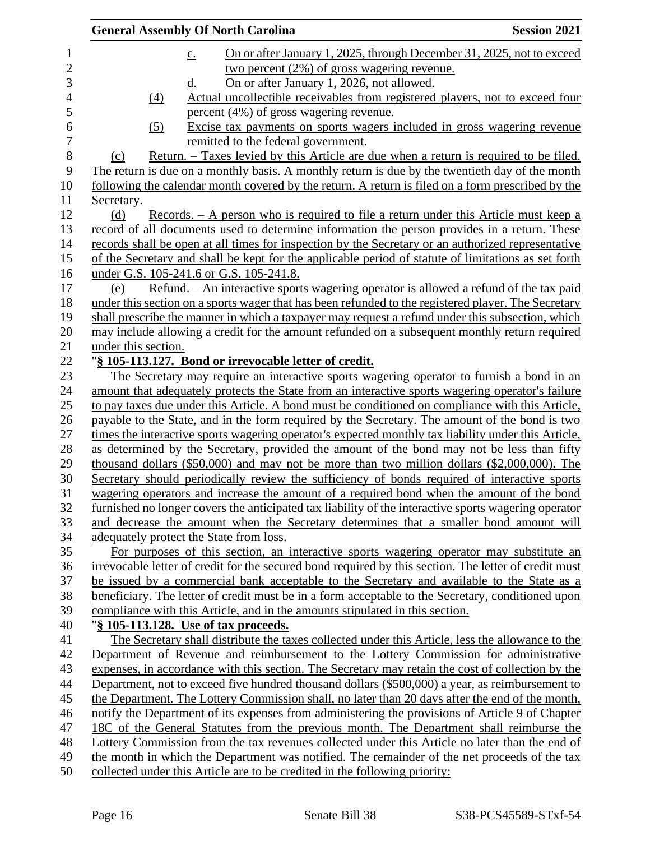| <b>General Assembly Of North Carolina</b><br><b>Session 2021</b>                                                                                                                          |  |
|-------------------------------------------------------------------------------------------------------------------------------------------------------------------------------------------|--|
| On or after January 1, 2025, through December 31, 2025, not to exceed<br>$\underline{c}$ .                                                                                                |  |
| two percent $(2\%)$ of gross wagering revenue.                                                                                                                                            |  |
| On or after January 1, 2026, not allowed.<br><u>d.</u>                                                                                                                                    |  |
| Actual uncollectible receivables from registered players, not to exceed four<br>(4)                                                                                                       |  |
| percent (4%) of gross wagering revenue.                                                                                                                                                   |  |
| Excise tax payments on sports wagers included in gross wagering revenue<br>(5)                                                                                                            |  |
| remitted to the federal government.                                                                                                                                                       |  |
| Return. – Taxes levied by this Article are due when a return is required to be filed.<br>(c)                                                                                              |  |
| The return is due on a monthly basis. A monthly return is due by the twentieth day of the month                                                                                           |  |
| following the calendar month covered by the return. A return is filed on a form prescribed by the                                                                                         |  |
| Secretary.                                                                                                                                                                                |  |
| $\frac{\text{Records.}}{\text{Area}}$ – A person who is required to file a return under this Article must keep a<br>(d)                                                                   |  |
| record of all documents used to determine information the person provides in a return. These                                                                                              |  |
| records shall be open at all times for inspection by the Secretary or an authorized representative                                                                                        |  |
| of the Secretary and shall be kept for the applicable period of statute of limitations as set forth                                                                                       |  |
| under G.S. 105-241.6 or G.S. 105-241.8.                                                                                                                                                   |  |
| <u>Refund. – An interactive sports wagering operator is allowed a refund of the tax paid</u><br>(e)                                                                                       |  |
| under this section on a sports wager that has been refunded to the registered player. The Secretary                                                                                       |  |
| shall prescribe the manner in which a taxpayer may request a refund under this subsection, which                                                                                          |  |
| may include allowing a credit for the amount refunded on a subsequent monthly return required                                                                                             |  |
| under this section.                                                                                                                                                                       |  |
| "§ 105-113.127. Bond or irrevocable letter of credit.                                                                                                                                     |  |
| The Secretary may require an interactive sports wagering operator to furnish a bond in an                                                                                                 |  |
| amount that adequately protects the State from an interactive sports wagering operator's failure                                                                                          |  |
| to pay taxes due under this Article. A bond must be conditioned on compliance with this Article,                                                                                          |  |
| payable to the State, and in the form required by the Secretary. The amount of the bond is two                                                                                            |  |
| times the interactive sports wagering operator's expected monthly tax liability under this Article,                                                                                       |  |
| as determined by the Secretary, provided the amount of the bond may not be less than fifty                                                                                                |  |
| thousand dollars (\$50,000) and may not be more than two million dollars (\$2,000,000). The                                                                                               |  |
| Secretary should periodically review the sufficiency of bonds required of interactive sports<br>wagering operators and increase the amount of a required bond when the amount of the bond |  |
| furnished no longer covers the anticipated tax liability of the interactive sports wagering operator                                                                                      |  |
| and decrease the amount when the Secretary determines that a smaller bond amount will                                                                                                     |  |
| adequately protect the State from loss.                                                                                                                                                   |  |
| For purposes of this section, an interactive sports wagering operator may substitute an                                                                                                   |  |
| irrevocable letter of credit for the secured bond required by this section. The letter of credit must                                                                                     |  |
| be issued by a commercial bank acceptable to the Secretary and available to the State as a                                                                                                |  |
| beneficiary. The letter of credit must be in a form acceptable to the Secretary, conditioned upon                                                                                         |  |
| compliance with this Article, and in the amounts stipulated in this section.                                                                                                              |  |
| "§ 105-113.128. Use of tax proceeds.                                                                                                                                                      |  |
| The Secretary shall distribute the taxes collected under this Article, less the allowance to the                                                                                          |  |
| Department of Revenue and reimbursement to the Lottery Commission for administrative                                                                                                      |  |
| expenses, in accordance with this section. The Secretary may retain the cost of collection by the                                                                                         |  |
| Department, not to exceed five hundred thousand dollars (\$500,000) a year, as reimbursement to                                                                                           |  |
| the Department. The Lottery Commission shall, no later than 20 days after the end of the month,                                                                                           |  |
| notify the Department of its expenses from administering the provisions of Article 9 of Chapter                                                                                           |  |
| 18C of the General Statutes from the previous month. The Department shall reimburse the                                                                                                   |  |
| Lottery Commission from the tax revenues collected under this Article no later than the end of                                                                                            |  |
| the month in which the Department was notified. The remainder of the net proceeds of the tax                                                                                              |  |
| collected under this Article are to be credited in the following priority:                                                                                                                |  |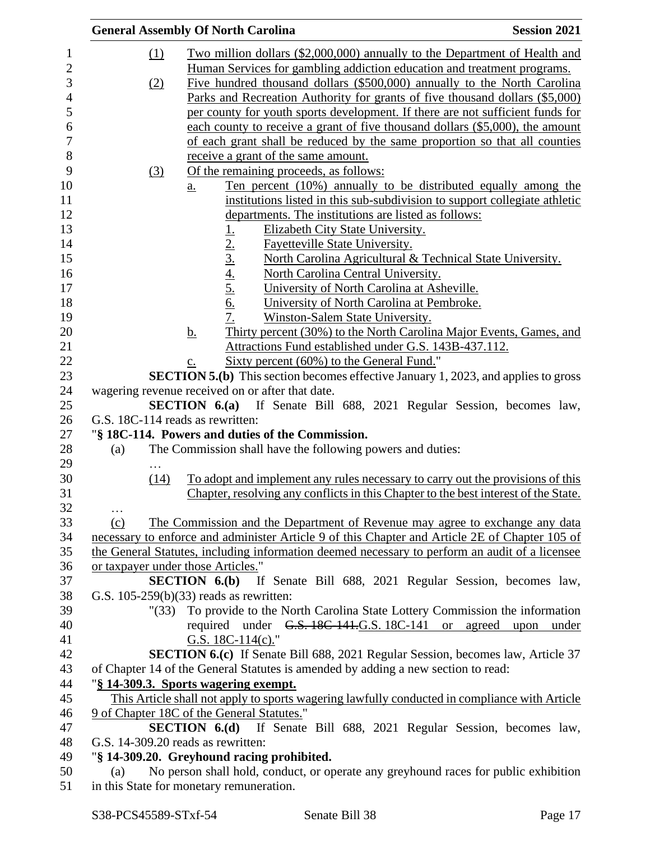|          |        | <b>General Assembly Of North Carolina</b>                                                                               | <b>Session 2021</b> |
|----------|--------|-------------------------------------------------------------------------------------------------------------------------|---------------------|
|          | (1)    | Two million dollars (\$2,000,000) annually to the Department of Health and                                              |                     |
|          |        | Human Services for gambling addiction education and treatment programs.                                                 |                     |
|          | (2)    | Five hundred thousand dollars (\$500,000) annually to the North Carolina                                                |                     |
|          |        | Parks and Recreation Authority for grants of five thousand dollars (\$5,000)                                            |                     |
|          |        | per county for youth sports development. If there are not sufficient funds for                                          |                     |
|          |        | each county to receive a grant of five thousand dollars (\$5,000), the amount                                           |                     |
|          |        | of each grant shall be reduced by the same proportion so that all counties                                              |                     |
|          |        |                                                                                                                         |                     |
|          |        | receive a grant of the same amount.                                                                                     |                     |
|          | (3)    | Of the remaining proceeds, as follows:                                                                                  |                     |
|          |        | Ten percent (10%) annually to be distributed equally among the<br>$\underline{a}$ .                                     |                     |
|          |        | institutions listed in this sub-subdivision to support collegiate athletic                                              |                     |
|          |        | departments. The institutions are listed as follows:                                                                    |                     |
|          |        | Elizabeth City State University.                                                                                        |                     |
|          |        | Fayetteville State University.                                                                                          |                     |
|          |        | North Carolina Agricultural & Technical State University.                                                               |                     |
|          |        | $\frac{1}{2}$<br>$\frac{2}{3}$<br>$\frac{4}{4}$<br>$\frac{5}{5}$<br>$\frac{6}{5}$<br>North Carolina Central University. |                     |
|          |        | University of North Carolina at Asheville.                                                                              |                     |
|          |        | University of North Carolina at Pembroke.                                                                               |                     |
|          |        | 7.<br>Winston-Salem State University.                                                                                   |                     |
|          |        | Thirty percent (30%) to the North Carolina Major Events, Games, and<br><u>b.</u>                                        |                     |
|          |        | Attractions Fund established under G.S. 143B-437.112.                                                                   |                     |
|          |        | Sixty percent (60%) to the General Fund."<br>c.                                                                         |                     |
|          |        | <b>SECTION 5.(b)</b> This section becomes effective January 1, 2023, and applies to gross                               |                     |
|          |        | wagering revenue received on or after that date.                                                                        |                     |
|          |        | <b>SECTION 6.(a)</b> If Senate Bill 688, 2021 Regular Session, becomes law,                                             |                     |
|          |        | G.S. 18C-114 reads as rewritten:                                                                                        |                     |
|          |        | "§ 18C-114. Powers and duties of the Commission.                                                                        |                     |
| (a)      |        | The Commission shall have the following powers and duties:                                                              |                     |
|          | .      |                                                                                                                         |                     |
|          | (14)   | To adopt and implement any rules necessary to carry out the provisions of this                                          |                     |
|          |        | Chapter, resolving any conflicts in this Chapter to the best interest of the State.                                     |                     |
| $\cdots$ |        |                                                                                                                         |                     |
| (c)      |        | The Commission and the Department of Revenue may agree to exchange any data                                             |                     |
|          |        | necessary to enforce and administer Article 9 of this Chapter and Article 2E of Chapter 105 of                          |                     |
|          |        | the General Statutes, including information deemed necessary to perform an audit of a licensee                          |                     |
|          |        | or taxpayer under those Articles."                                                                                      |                     |
|          |        | <b>SECTION 6.(b)</b> If Senate Bill 688, 2021 Regular Session, becomes law,                                             |                     |
|          |        | G.S. $105-259(b)(33)$ reads as rewritten:                                                                               |                     |
|          | " (33) | To provide to the North Carolina State Lottery Commission the information                                               |                     |
|          |        | required under G.S. 18C-141.G.S. 18C-141 or<br>agreed                                                                   | upon<br>under       |
|          |        | G.S. $18C-114(c)$ ."                                                                                                    |                     |
|          |        | SECTION 6.(c) If Senate Bill 688, 2021 Regular Session, becomes law, Article 37                                         |                     |
|          |        | of Chapter 14 of the General Statutes is amended by adding a new section to read:                                       |                     |
|          |        | "§ 14-309.3. Sports wagering exempt.                                                                                    |                     |
|          |        | This Article shall not apply to sports wagering lawfully conducted in compliance with Article                           |                     |
|          |        | 9 of Chapter 18C of the General Statutes."                                                                              |                     |
|          |        | <b>SECTION 6.(d)</b> If Senate Bill 688, 2021 Regular Session, becomes law,                                             |                     |
|          |        | G.S. 14-309.20 reads as rewritten:                                                                                      |                     |
|          |        | "§ 14-309.20. Greyhound racing prohibited.                                                                              |                     |
| (a)      |        | No person shall hold, conduct, or operate any greyhound races for public exhibition                                     |                     |